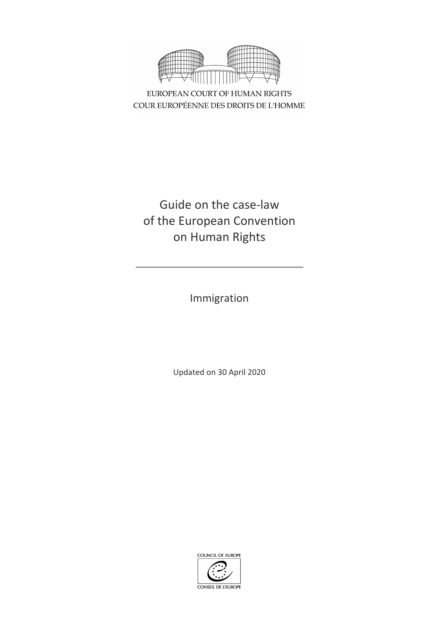

EUROPEAN COURT OF HUMAN RIGHTS COUR EUROPÉENNE DES DROITS DE L'HOMME

# Guide on the case-law of the European Convention on Human Rights

Immigration

Updated on 30 April 2020

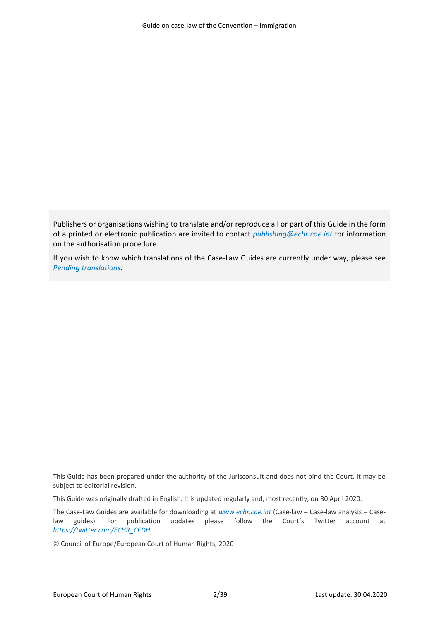Publishers or organisations wishing to translate and/or reproduce all or part of this Guide in the form of a printed or electronic publication are invited to contact *[publishing@echr.coe.int](mailto:publishing@echr.coe.int)* for information on the authorisation procedure.

If you wish to know which translations of the Case-Law Guides are currently under way, please see *[Pending translations](http://www.echr.coe.int/Documents/Translations_pending_ENG.pdf)*.

This Guide has been prepared under the authority of the Jurisconsult and does not bind the Court. It may be subject to editorial revision.

This Guide was originally drafted in English. It is updated regularly and, most recently, on 30 April 2020.

The Case-Law Guides are available for downloading at *[www.echr.coe.int](http://www.echr.coe.int/Pages/home.aspx?p=caselaw/analysis/guides&c=)* (Case-law – Case-law analysis – Caselaw guides). For publication updates please follow the Court's Twitter account at *[https://twitter.com/ECHR\\_CEDH](https://twitter.com/ECHR_CEDH)*.

© Council of Europe/European Court of Human Rights, 2020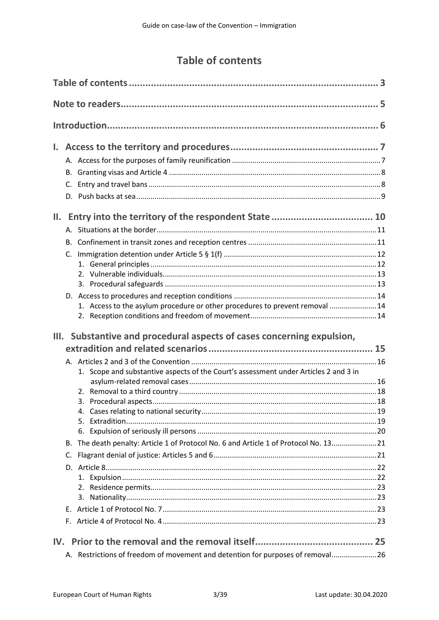## **Table of contents**

<span id="page-2-0"></span>

|  | 1. Access to the asylum procedure or other procedures to prevent removal  14                                                                                                                                                                                     |  |  |  |  |
|--|------------------------------------------------------------------------------------------------------------------------------------------------------------------------------------------------------------------------------------------------------------------|--|--|--|--|
|  | III. Substantive and procedural aspects of cases concerning expulsion,<br>1. Scope and substantive aspects of the Court's assessment under Articles 2 and 3 in<br>The death penalty: Article 1 of Protocol No. 6 and Article 1 of Protocol No. 13 21<br>В.<br>C. |  |  |  |  |
|  | A. Restrictions of freedom of movement and detention for purposes of removal 26                                                                                                                                                                                  |  |  |  |  |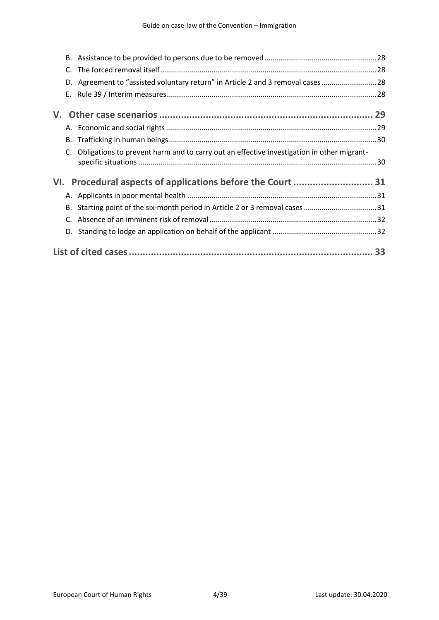|  | D.      | Agreement to "assisted voluntary return" in Article 2 and 3 removal cases  28                |  |  |  |
|--|---------|----------------------------------------------------------------------------------------------|--|--|--|
|  | Е.      |                                                                                              |  |  |  |
|  |         |                                                                                              |  |  |  |
|  |         |                                                                                              |  |  |  |
|  |         |                                                                                              |  |  |  |
|  |         | C. Obligations to prevent harm and to carry out an effective investigation in other migrant- |  |  |  |
|  |         |                                                                                              |  |  |  |
|  |         |                                                                                              |  |  |  |
|  |         | B. Starting point of the six-month period in Article 2 or 3 removal cases31                  |  |  |  |
|  | $C_{1}$ |                                                                                              |  |  |  |
|  |         |                                                                                              |  |  |  |
|  |         |                                                                                              |  |  |  |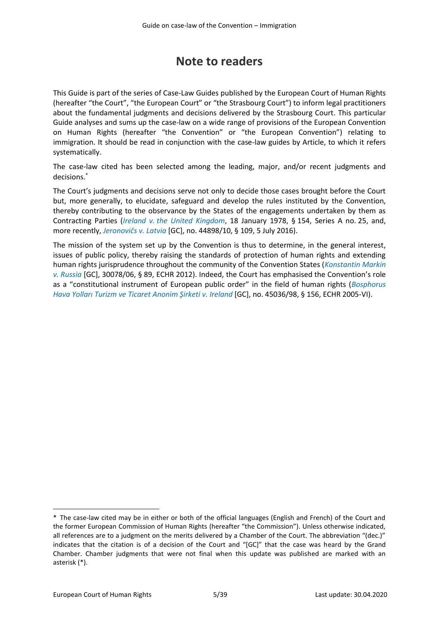# **Note to readers**

<span id="page-4-0"></span>This Guide is part of the series of Case-Law Guides published by the European Court of Human Rights (hereafter "the Court", "the European Court" or "the Strasbourg Court") to inform legal practitioners about the fundamental judgments and decisions delivered by the Strasbourg Court. This particular Guide analyses and sums up the case-law on a wide range of provisions of the European Convention on Human Rights (hereafter "the Convention" or "the European Convention") relating to immigration. It should be read in conjunction with the case-law guides by Article, to which it refers systematically.

The case-law cited has been selected among the leading, major, and/or recent judgments and decisions.

The Court's judgments and decisions serve not only to decide those cases brought before the Court but, more generally, to elucidate, safeguard and develop the rules instituted by the Convention, thereby contributing to the observance by the States of the engagements undertaken by them as Contracting Parties (*Ireland v. [the United Kingdom](http://hudoc.echr.coe.int/eng?i=001-57506)*, 18 January 1978, § 154, Series A no. 25, and, more recently, *[Jeronovičs v.](http://hudoc.echr.coe.int/eng?i=001-165032) Latvia* [GC], no. 44898/10, § 109, 5 July 2016).

The mission of the system set up by the Convention is thus to determine, in the general interest, issues of public policy, thereby raising the standards of protection of human rights and extending human rights jurisprudence throughout the community of the Convention States (*[Konstantin Markin](http://hudoc.echr.coe.int/eng?i=001-109868)  v. [Russia](http://hudoc.echr.coe.int/eng?i=001-109868)* [GC], 30078/06, § 89, ECHR 2012). Indeed, the Court has emphasised the Convention's role as a "constitutional instrument of European public order" in the field of human rights (*[Bosphorus](http://hudoc.echr.coe.int/eng?i=001-69564)  [Hava Yolları Turizm ve Ticaret Anonim Şirketi v.](http://hudoc.echr.coe.int/eng?i=001-69564) Ireland* [GC], no. 45036/98, § 156, ECHR 2005-VI).

1

<sup>\*</sup> The case-law cited may be in either or both of the official languages (English and French) of the Court and the former European Commission of Human Rights (hereafter "the Commission"). Unless otherwise indicated, all references are to a judgment on the merits delivered by a Chamber of the Court. The abbreviation "(dec.)" indicates that the citation is of a decision of the Court and "[GC]" that the case was heard by the Grand Chamber. Chamber judgments that were not final when this update was published are marked with an asterisk (\*).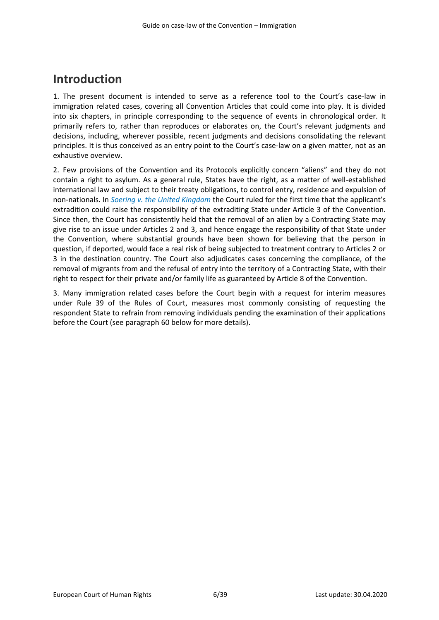# <span id="page-5-0"></span>**Introduction**

1. The present document is intended to serve as a reference tool to the Court's case-law in immigration related cases, covering all Convention Articles that could come into play. It is divided into six chapters, in principle corresponding to the sequence of events in chronological order. It primarily refers to, rather than reproduces or elaborates on, the Court's relevant judgments and decisions, including, wherever possible, recent judgments and decisions consolidating the relevant principles. It is thus conceived as an entry point to the Court's case-law on a given matter, not as an exhaustive overview.

2. Few provisions of the Convention and its Protocols explicitly concern "aliens" and they do not contain a right to asylum. As a general rule, States have the right, as a matter of well-established international law and subject to their treaty obligations, to control entry, residence and expulsion of non-nationals. In *[Soering v. the United Kingdom](http://hudoc.echr.coe.int/eng?i=001-57619)* the Court ruled for the first time that the applicant's extradition could raise the responsibility of the extraditing State under Article 3 of the Convention. Since then, the Court has consistently held that the removal of an alien by a Contracting State may give rise to an issue under Articles 2 and 3, and hence engage the responsibility of that State under the Convention, where substantial grounds have been shown for believing that the person in question, if deported, would face a real risk of being subjected to treatment contrary to Articles 2 or 3 in the destination country. The Court also adjudicates cases concerning the compliance, of the removal of migrants from and the refusal of entry into the territory of a Contracting State, with their right to respect for their private and/or family life as guaranteed by Article 8 of the Convention.

3. Many immigration related cases before the Court begin with a request for interim measures under Rule 39 of the Rules of Court, measures most commonly consisting of requesting the respondent State to refrain from removing individuals pending the examination of their applications before the Court (see paragraph 60 below for more details).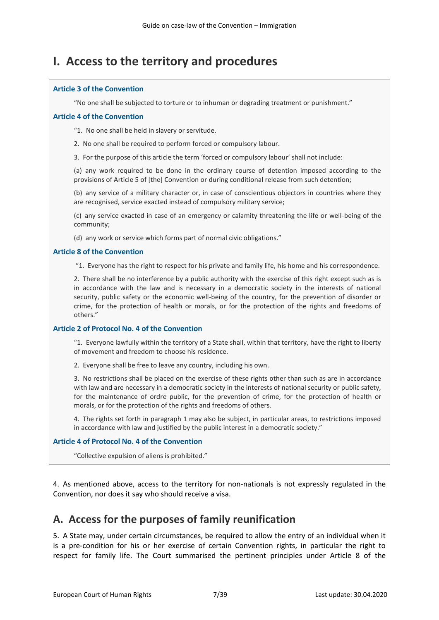# <span id="page-6-0"></span>**I. Access to the territory and procedures**

#### **Article 3 of the Convention**

"No one shall be subjected to torture or to inhuman or degrading treatment or punishment."

#### **Article 4 of the Convention**

"1. No one shall be held in slavery or servitude.

2. No one shall be required to perform forced or compulsory labour.

3. For the purpose of this article the term 'forced or compulsory labour' shall not include:

(a) any work required to be done in the ordinary course of detention imposed according to the provisions of Article 5 of [the] Convention or during conditional release from such detention;

(b) any service of a military character or, in case of conscientious objectors in countries where they are recognised, service exacted instead of compulsory military service;

(c) any service exacted in case of an emergency or calamity threatening the life or well-being of the community;

(d) any work or service which forms part of normal civic obligations."

#### **Article 8 of the Convention**

"1. Everyone has the right to respect for his private and family life, his home and his correspondence.

2. There shall be no interference by a public authority with the exercise of this right except such as is in accordance with the law and is necessary in a democratic society in the interests of national security, public safety or the economic well-being of the country, for the prevention of disorder or crime, for the protection of health or morals, or for the protection of the rights and freedoms of others."

#### **Article 2 of Protocol No. 4 of the Convention**

"1. Everyone lawfully within the territory of a State shall, within that territory, have the right to liberty of movement and freedom to choose his residence.

2. Everyone shall be free to leave any country, including his own.

3. No restrictions shall be placed on the exercise of these rights other than such as are in accordance with law and are necessary in a democratic society in the interests of national security or public safety, for the maintenance of ordre public, for the prevention of crime, for the protection of health or morals, or for the protection of the rights and freedoms of others.

4. The rights set forth in paragraph 1 may also be subject, in particular areas, to restrictions imposed in accordance with law and justified by the public interest in a democratic society."

#### **Article 4 of Protocol No. 4 of the Convention**

"Collective expulsion of aliens is prohibited."

4. As mentioned above, access to the territory for non-nationals is not expressly regulated in the Convention, nor does it say who should receive a visa.

## <span id="page-6-1"></span>**A. Access for the purposes of family reunification**

5. A State may, under certain circumstances, be required to allow the entry of an individual when it is a pre-condition for his or her exercise of certain Convention rights, in particular the right to respect for family life. The Court summarised the pertinent principles under Article 8 of the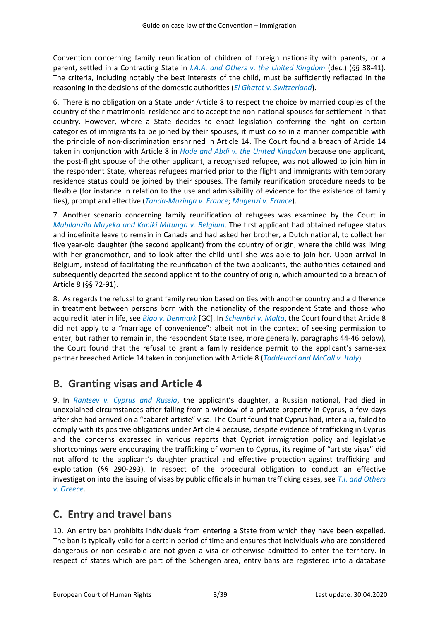Convention concerning family reunification of children of foreign nationality with parents, or a parent, settled in a Contracting State in *[I.A.A. and Others v. the United Kingdom](http://hudoc.echr.coe.int/eng?i=001-161986)* (dec.) (§§ 38-41). The criteria, including notably the best interests of the child, must be sufficiently reflected in the reasoning in the decisions of the domestic authorities (*[El Ghatet v. Switzerland](http://hudoc.echr.coe.int/eng?i=001-168377)*).

6. There is no obligation on a State under Article 8 to respect the choice by married couples of the country of their matrimonial residence and to accept the non-national spouses for settlement in that country. However, where a State decides to enact legislation conferring the right on certain categories of immigrants to be joined by their spouses, it must do so in a manner compatible with the principle of non-discrimination enshrined in Article 14. The Court found a breach of Article 14 taken in conjunction with Article 8 in *[Hode and Abdi v. the United Kingdom](http://hudoc.echr.coe.int/eng?i=001-114244)* because one applicant, the post-flight spouse of the other applicant, a recognised refugee, was not allowed to join him in the respondent State, whereas refugees married prior to the flight and immigrants with temporary residence status could be joined by their spouses. The family reunification procedure needs to be flexible (for instance in relation to the use and admissibility of evidence for the existence of family ties), prompt and effective (*[Tanda-Muzinga v. France](http://hudoc.echr.coe.int/eng?i=001-145358)*; *[Mugenzi v. France](http://hudoc.echr.coe.int/eng?i=001-145792)*).

7. Another scenario concerning family reunification of refugees was examined by the Court in *[Mubilanzila Mayeka and Kaniki Mitunga v. Belgium](http://hudoc.echr.coe.int/eng?i=001-77447)*. The first applicant had obtained refugee status and indefinite leave to remain in Canada and had asked her brother, a Dutch national, to collect her five year-old daughter (the second applicant) from the country of origin, where the child was living with her grandmother, and to look after the child until she was able to join her. Upon arrival in Belgium, instead of facilitating the reunification of the two applicants, the authorities detained and subsequently deported the second applicant to the country of origin, which amounted to a breach of Article 8 (§§ 72-91).

8. As regards the refusal to grant family reunion based on ties with another country and a difference in treatment between persons born with the nationality of the respondent State and those who acquired it later in life, see *[Biao v. Denmark](http://hudoc.echr.coe.int/eng?i=001-163115)* [GC]. In *[Schembri v. Malta](http://hudoc.echr.coe.int/eng?i=001-178105)*, the Court found that Article 8 did not apply to a "marriage of convenience": albeit not in the context of seeking permission to enter, but rather to remain in, the respondent State (see, more generally, paragraphs 44-46 below), the Court found that the refusal to grant a family residence permit to the applicant's same-sex partner breached Article 14 taken in conjunction with Article 8 (*[Taddeucci and McCall v.](http://hudoc.echr.coe.int/eng?i=001-164201) Italy*).

## <span id="page-7-0"></span>**B. Granting visas and Article 4**

9. In *[Rantsev v. Cyprus and Russia](http://hudoc.echr.coe.int/eng?i=001-96549)*, the applicant's daughter, a Russian national, had died in unexplained circumstances after falling from a window of a private property in Cyprus, a few days after she had arrived on a "cabaret-artiste" visa. The Court found that Cyprus had, inter alia, failed to comply with its positive obligations under Article 4 because, despite evidence of trafficking in Cyprus and the concerns expressed in various reports that Cypriot immigration policy and legislative shortcomings were encouraging the trafficking of women to Cyprus, its regime of "artiste visas" did not afford to the applicant's daughter practical and effective protection against trafficking and exploitation (§§ 290-293). In respect of the procedural obligation to conduct an effective investigation into the issuing of visas by public officials in human trafficking cases, see *[T.I. and Others](http://hudoc.echr.coe.int/eng?i=001-194441)  [v. Greece](http://hudoc.echr.coe.int/eng?i=001-194441)*.

## <span id="page-7-1"></span>**C. Entry and travel bans**

10. An entry ban prohibits individuals from entering a State from which they have been expelled. The ban is typically valid for a certain period of time and ensures that individuals who are considered dangerous or non-desirable are not given a visa or otherwise admitted to enter the territory. In respect of states which are part of the Schengen area, entry bans are registered into a database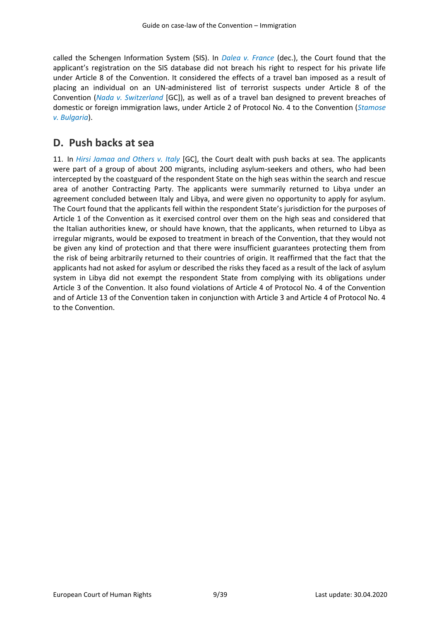called the Schengen Information System (SIS). In *[Dalea v. France](http://hudoc.echr.coe.int/eng?i=001-97520)* (dec.), the Court found that the applicant's registration on the SIS database did not breach his right to respect for his private life under Article 8 of the Convention. It considered the effects of a travel ban imposed as a result of placing an individual on an UN-administered list of terrorist suspects under Article 8 of the Convention (*[Nada v. Switzerland](http://hudoc.echr.coe.int/eng?i=001-113118)* [GC]), as well as of a travel ban designed to prevent breaches of domestic or foreign immigration laws, under Article 2 of Protocol No. 4 to the Convention (*[Stamose](http://hudoc.echr.coe.int/eng?i=001-115160)  [v. Bulgaria](http://hudoc.echr.coe.int/eng?i=001-115160)*).

## <span id="page-8-0"></span>**D. Push backs at sea**

11. In *[Hirsi Jamaa and Others v. Italy](http://hudoc.echr.coe.int/eng?i=001-109231)* [GC], the Court dealt with push backs at sea. The applicants were part of a group of about 200 migrants, including asylum-seekers and others, who had been intercepted by the coastguard of the respondent State on the high seas within the search and rescue area of another Contracting Party. The applicants were summarily returned to Libya under an agreement concluded between Italy and Libya, and were given no opportunity to apply for asylum. The Court found that the applicants fell within the respondent State's jurisdiction for the purposes of Article 1 of the Convention as it exercised control over them on the high seas and considered that the Italian authorities knew, or should have known, that the applicants, when returned to Libya as irregular migrants, would be exposed to treatment in breach of the Convention, that they would not be given any kind of protection and that there were insufficient guarantees protecting them from the risk of being arbitrarily returned to their countries of origin. It reaffirmed that the fact that the applicants had not asked for asylum or described the risks they faced as a result of the lack of asylum system in Libya did not exempt the respondent State from complying with its obligations under Article 3 of the Convention. It also found violations of Article 4 of Protocol No. 4 of the Convention and of Article 13 of the Convention taken in conjunction with Article 3 and Article 4 of Protocol No. 4 to the Convention.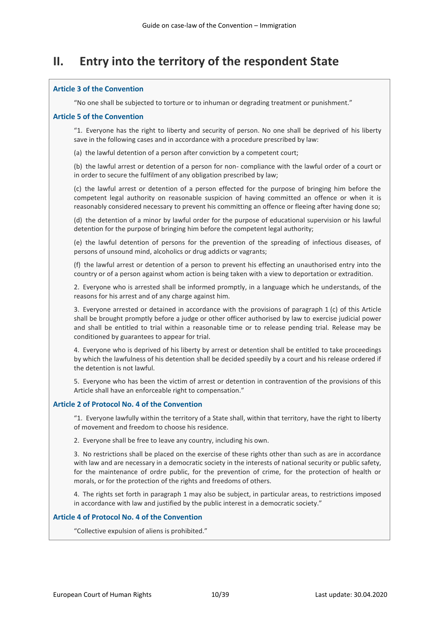# <span id="page-9-0"></span>**II. Entry into the territory of the respondent State**

#### **Article 3 of the Convention**

"No one shall be subjected to torture or to inhuman or degrading treatment or punishment."

#### **Article 5 of the Convention**

"1. Everyone has the right to liberty and security of person. No one shall be deprived of his liberty save in the following cases and in accordance with a procedure prescribed by law:

(a) the lawful detention of a person after conviction by a competent court;

(b) the lawful arrest or detention of a person for non- compliance with the lawful order of a court or in order to secure the fulfilment of any obligation prescribed by law;

(c) the lawful arrest or detention of a person effected for the purpose of bringing him before the competent legal authority on reasonable suspicion of having committed an offence or when it is reasonably considered necessary to prevent his committing an offence or fleeing after having done so;

(d) the detention of a minor by lawful order for the purpose of educational supervision or his lawful detention for the purpose of bringing him before the competent legal authority;

(e) the lawful detention of persons for the prevention of the spreading of infectious diseases, of persons of unsound mind, alcoholics or drug addicts or vagrants;

(f) the lawful arrest or detention of a person to prevent his effecting an unauthorised entry into the country or of a person against whom action is being taken with a view to deportation or extradition.

2. Everyone who is arrested shall be informed promptly, in a language which he understands, of the reasons for his arrest and of any charge against him.

3. Everyone arrested or detained in accordance with the provisions of paragraph 1 (c) of this Article shall be brought promptly before a judge or other officer authorised by law to exercise judicial power and shall be entitled to trial within a reasonable time or to release pending trial. Release may be conditioned by guarantees to appear for trial.

4. Everyone who is deprived of his liberty by arrest or detention shall be entitled to take proceedings by which the lawfulness of his detention shall be decided speedily by a court and his release ordered if the detention is not lawful.

5. Everyone who has been the victim of arrest or detention in contravention of the provisions of this Article shall have an enforceable right to compensation."

#### **Article 2 of Protocol No. 4 of the Convention**

"1. Everyone lawfully within the territory of a State shall, within that territory, have the right to liberty of movement and freedom to choose his residence.

2. Everyone shall be free to leave any country, including his own.

3. No restrictions shall be placed on the exercise of these rights other than such as are in accordance with law and are necessary in a democratic society in the interests of national security or public safety, for the maintenance of ordre public, for the prevention of crime, for the protection of health or morals, or for the protection of the rights and freedoms of others.

4. The rights set forth in paragraph 1 may also be subject, in particular areas, to restrictions imposed in accordance with law and justified by the public interest in a democratic society."

#### **Article 4 of Protocol No. 4 of the Convention**

"Collective expulsion of aliens is prohibited."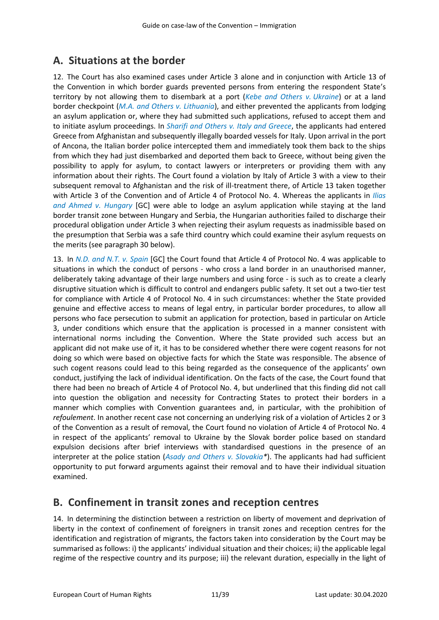## <span id="page-10-0"></span>**A. Situations at the border**

12. The Court has also examined cases under Article 3 alone and in conjunction with Article 13 of the Convention in which border guards prevented persons from entering the respondent State's territory by not allowing them to disembark at a port (*[Kebe and Others v.](http://hudoc.echr.coe.int/eng?i=001-170058) Ukraine*) or at a land border checkpoint (*[M.A. and Others v. Lithuania](http://hudoc.echr.coe.int/eng?i=001-188267)*), and either prevented the applicants from lodging an asylum application or, where they had submitted such applications, refused to accept them and to initiate asylum proceedings. In *[Sharifi and Others v. Italy and Greece](http://hudoc.echr.coe.int/eng?i=001-147702)*, the applicants had entered Greece from Afghanistan and subsequently illegally boarded vessels for Italy. Upon arrival in the port of Ancona, the Italian border police intercepted them and immediately took them back to the ships from which they had just disembarked and deported them back to Greece, without being given the possibility to apply for asylum, to contact lawyers or interpreters or providing them with any information about their rights. The Court found a violation by Italy of Article 3 with a view to their subsequent removal to Afghanistan and the risk of ill-treatment there, of Article 13 taken together with Article 3 of the Convention and of Article 4 of Protocol No. 4. Whereas the applicants in *[Ilias](http://hudoc.echr.coe.int/eng?i=001-198760)  [and Ahmed v. Hungary](http://hudoc.echr.coe.int/eng?i=001-198760)* [GC] were able to lodge an asylum application while staying at the land border transit zone between Hungary and Serbia, the Hungarian authorities failed to discharge their procedural obligation under Article 3 when rejecting their asylum requests as inadmissible based on the presumption that Serbia was a safe third country which could examine their asylum requests on the merits (see paragraph 30 below).

13. In *[N.D. and N.T. v. Spain](http://hudoc.echr.coe.int/eng?i=001-201353)* [GC] the Court found that Article 4 of Protocol No. 4 was applicable to situations in which the conduct of persons - who cross a land border in an unauthorised manner, deliberately taking advantage of their large numbers and using force - is such as to create a clearly disruptive situation which is difficult to control and endangers public safety. It set out a two-tier test for compliance with Article 4 of Protocol No. 4 in such circumstances: whether the State provided genuine and effective access to means of legal entry, in particular border procedures, to allow all persons who face persecution to submit an application for protection, based in particular on Article 3, under conditions which ensure that the application is processed in a manner consistent with international norms including the Convention. Where the State provided such access but an applicant did not make use of it, it has to be considered whether there were cogent reasons for not doing so which were based on objective facts for which the State was responsible. The absence of such cogent reasons could lead to this being regarded as the consequence of the applicants' own conduct, justifying the lack of individual identification. On the facts of the case, the Court found that there had been no breach of Article 4 of Protocol No. 4, but underlined that this finding did not call into question the obligation and necessity for Contracting States to protect their borders in a manner which complies with Convention guarantees and, in particular, with the prohibition of *refoulement*. In another recent case not concerning an underlying risk of a violation of Articles 2 or 3 of the Convention as a result of removal, the Court found no violation of Article 4 of Protocol No. 4 in respect of the applicants' removal to Ukraine by the Slovak border police based on standard expulsion decisions after brief interviews with standardised questions in the presence of an interpreter at the police station (*[Asady and Others v. Slovakia\\*](http://hudoc.echr.coe.int/eng?i=001-201870)*). The applicants had had sufficient opportunity to put forward arguments against their removal and to have their individual situation examined.

## <span id="page-10-1"></span>**B. Confinement in transit zones and reception centres**

14. In determining the distinction between a restriction on liberty of movement and deprivation of liberty in the context of confinement of foreigners in transit zones and reception centres for the identification and registration of migrants, the factors taken into consideration by the Court may be summarised as follows: i) the applicants' individual situation and their choices; ii) the applicable legal regime of the respective country and its purpose; iii) the relevant duration, especially in the light of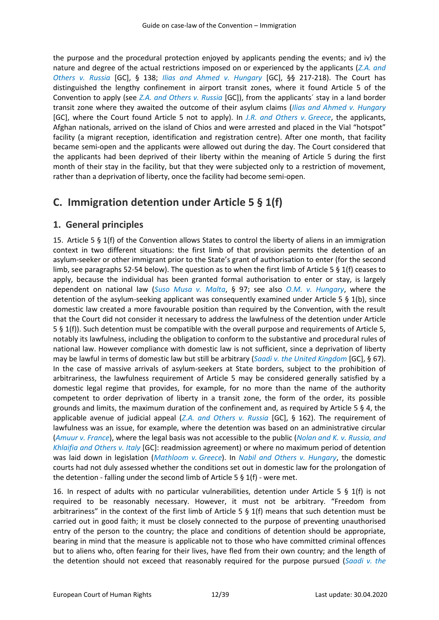the purpose and the procedural protection enjoyed by applicants pending the events; and iv) the nature and degree of the actual restrictions imposed on or experienced by the applicants (*[Z.A. and](http://hudoc.echr.coe.int/eng?i=001-198811)  [Others v. Russia](http://hudoc.echr.coe.int/eng?i=001-198811)* [GC], § 138; *[Ilias and Ahmed v. Hungary](http://hudoc.echr.coe.int/eng?i=001-198760)* [GC], §§ 217-218). The Court has distinguished the lengthy confinement in airport transit zones, where it found Article 5 of the Convention to apply (see *[Z.A. and Others v. Russia](http://hudoc.echr.coe.int/eng?i=001-198811)* [GC]), from the applicants´ stay in a land border transit zone where they awaited the outcome of their asylum claims (*[Ilias and Ahmed v. Hungary](http://hudoc.echr.coe.int/eng?i=001-198760)* [GC], where the Court found Article 5 not to apply). In *[J.R. and Others v.](http://hudoc.echr.coe.int/eng?i=001-180319) Greece*, the applicants, Afghan nationals, arrived on the island of Chios and were arrested and placed in the Vial "hotspot" facility (a migrant reception, identification and registration centre). After one month, that facility became semi-open and the applicants were allowed out during the day. The Court considered that the applicants had been deprived of their liberty within the meaning of Article 5 during the first month of their stay in the facility, but that they were subjected only to a restriction of movement, rather than a deprivation of liberty, once the facility had become semi-open.

## <span id="page-11-0"></span>**C. Immigration detention under Article 5 § 1(f)**

### <span id="page-11-1"></span>**1. General principles**

15. Article 5 § 1(f) of the Convention allows States to control the liberty of aliens in an immigration context in two different situations: the first limb of that provision permits the detention of an asylum-seeker or other immigrant prior to the State's grant of authorisation to enter (for the second limb, see paragraphs 52-54 below). The question as to when the first limb of Article 5 § 1(f) ceases to apply, because the individual has been granted formal authorisation to enter or stay, is largely dependent on national law (*[Suso Musa v. Malta](http://hudoc.echr.coe.int/eng?i=001-122893)*, § 97; see also *[O.M. v. Hungary](http://hudoc.echr.coe.int/eng?i=001-164466)*, where the detention of the asylum-seeking applicant was consequently examined under Article 5 § 1(b), since domestic law created a more favourable position than required by the Convention, with the result that the Court did not consider it necessary to address the lawfulness of the detention under Article 5 § 1(f)). Such detention must be compatible with the overall purpose and requirements of Article 5, notably its lawfulness, including the obligation to conform to the substantive and procedural rules of national law. However compliance with domestic law is not sufficient, since a deprivation of liberty may be lawful in terms of domestic law but still be arbitrary (*[Saadi v. the United](http://hudoc.echr.coe.int/eng?i=001-84709) Kingdom* [GC], § 67). In the case of massive arrivals of asylum-seekers at State borders, subject to the prohibition of arbitrariness, the lawfulness requirement of Article 5 may be considered generally satisfied by a domestic legal regime that provides, for example, for no more than the name of the authority competent to order deprivation of liberty in a transit zone, the form of the order, its possible grounds and limits, the maximum duration of the confinement and, as required by Article 5  $\S$  4, the applicable avenue of judicial appeal (*[Z.A. and Others v. Russia](http://hudoc.echr.coe.int/eng?i=001-198811)* [GC], § 162). The requirement of lawfulness was an issue, for example, where the detention was based on an administrative circular (*[Amuur v. France](http://hudoc.echr.coe.int/eng?i=001-57988)*), where the legal basis was not accessible to the public (*[Nolan and K. v. Russia,](http://hudoc.echr.coe.int/eng?i=001-91302) and [Khlaifia and Others v. Italy](http://hudoc.echr.coe.int/eng?i=001-170054)* [GC]: readmission agreement) or where no maximum period of detention was laid down in legislation (*[Mathloom v.](http://hudoc.echr.coe.int/eng?i=001-110731) Greece*). In *[Nabil and Others v. Hungary](http://hudoc.echr.coe.int/eng?i=001-157392)*, the domestic courts had not duly assessed whether the conditions set out in domestic law for the prolongation of the detention - falling under the second limb of Article 5  $\S$  1(f) - were met.

16. In respect of adults with no particular vulnerabilities, detention under Article 5 § 1(f) is not required to be reasonably necessary. However, it must not be arbitrary. "Freedom from arbitrariness" in the context of the first limb of Article 5 § 1(f) means that such detention must be carried out in good faith; it must be closely connected to the purpose of preventing unauthorised entry of the person to the country; the place and conditions of detention should be appropriate, bearing in mind that the measure is applicable not to those who have committed criminal offences but to aliens who, often fearing for their lives, have fled from their own country; and the length of the detention should not exceed that reasonably required for the purpose pursued (*[Saadi v. the](http://hudoc.echr.coe.int/eng?i=001-84709)*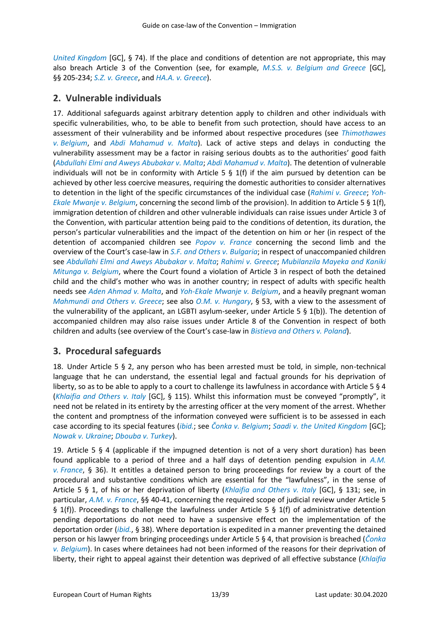*[United Kingdom](http://hudoc.echr.coe.int/eng?i=001-84709)* [GC], § 74). If the place and conditions of detention are not appropriate, this may also breach Article 3 of the Convention (see, for example, *[M.S.S. v. Belgium and Greece](http://hudoc.echr.coe.int/eng?i=001-103050)* [GC], §§ 205-234; *[S.Z. v. Greece](http://hudoc.echr.coe.int/eng?i=001-183816)*, and *[HA.A. v. Greece](http://hudoc.echr.coe.int/eng?i=001-162116)*).

### <span id="page-12-0"></span>**2. Vulnerable individuals**

17. Additional safeguards against arbitrary detention apply to children and other individuals with specific vulnerabilities, who, to be able to benefit from such protection, should have access to an assessment of their vulnerability and be informed about respective procedures (see *[Thimothawes](http://hudoc.echr.coe.int/eng?i=001-172464)  v. [Belgium](http://hudoc.echr.coe.int/eng?i=001-172464)*, and *[Abdi Mahamud v. Malta](http://hudoc.echr.coe.int/eng?i=001-162424)*). Lack of active steps and delays in conducting the vulnerability assessment may be a factor in raising serious doubts as to the authorities' good faith (*[Abdullahi Elmi and Aweys Abubakar v. Malta](http://hudoc.echr.coe.int/eng?i=001-168780)*; *[Abdi Mahamud v. Malta](http://hudoc.echr.coe.int/eng?i=001-162424)*). The detention of vulnerable individuals will not be in conformity with Article 5  $\S$  1(f) if the aim pursued by detention can be achieved by other less coercive measures, requiring the domestic authorities to consider alternatives to detention in the light of the specific circumstances of the individual case (*[Rahimi v. Greece](http://hudoc.echr.coe.int/eng?i=001-104366)*; *[Yoh-](http://hudoc.echr.coe.int/eng?i=001-108155)[Ekale Mwanje v. Belgium](http://hudoc.echr.coe.int/eng?i=001-108155)*, concerning the second limb of the provision). In addition to Article 5 § 1(f), immigration detention of children and other vulnerable individuals can raise issues under Article 3 of the Convention, with particular attention being paid to the conditions of detention, its duration, the person's particular vulnerabilities and the impact of the detention on him or her (in respect of the detention of accompanied children see *[Popov v. France](http://hudoc.echr.coe.int/eng?i=001-108708)* concerning the second limb and the overview of the Court's case-law in *[S.F. and Others v. Bulgaria](http://hudoc.echr.coe.int/eng?i=001-179231)*; in respect of unaccompanied children see *[Abdullahi Elmi and Aweys Abubakar v.](http://hudoc.echr.coe.int/eng?i=001-168780) Malta*; *[Rahimi v.](http://hudoc.echr.coe.int/eng?i=001-104366) Greece*; *[Mubilanzila Mayeka and Kaniki](http://hudoc.echr.coe.int/eng?i=001-77447)  [Mitunga v. Belgium](http://hudoc.echr.coe.int/eng?i=001-77447)*, where the Court found a violation of Article 3 in respect of both the detained child and the child's mother who was in another country; in respect of adults with specific health needs see *[Aden Ahmad v. Malta](http://hudoc.echr.coe.int/eng?i=001-122894)*, and *[Yoh-Ekale Mwanje v. Belgium](http://hudoc.echr.coe.int/eng?i=001-108155)*, and a heavily pregnant woman *[Mahmundi and Others v. Greece](http://hudoc.echr.coe.int/eng?i=001-112592)*; see also *[O.M. v. Hungary](http://hudoc.echr.coe.int/eng?i=001-164466)*, § 53, with a view to the assessment of the vulnerability of the applicant, an LGBTI asylum-seeker, under Article 5 § 1(b)). The detention of accompanied children may also raise issues under Article 8 of the Convention in respect of both children and adults (see overview of the Court's case-law in *[Bistieva and Others v.](http://hudoc.echr.coe.int/eng?i=001-182210) Poland*).

### <span id="page-12-1"></span>**3. Procedural safeguards**

18. Under Article 5 § 2, any person who has been arrested must be told, in simple, non-technical language that he can understand, the essential legal and factual grounds for his deprivation of liberty, so as to be able to apply to a court to challenge its lawfulness in accordance with Article 5 § 4 (*[Khlaifia and Others v. Italy](http://hudoc.echr.coe.int/eng?i=001-170054)* [GC], § 115). Whilst this information must be conveyed "promptly", it need not be related in its entirety by the arresting officer at the very moment of the arrest. Whether the content and promptness of the information conveyed were sufficient is to be assessed in each case according to its special features (*[ibid.](http://hudoc.echr.coe.int/eng?i=001-170054)*; see *[Čonka v. Belgium](http://hudoc.echr.coe.int/eng?i=001-60026)*; *[Saadi v. the United Kingdom](http://hudoc.echr.coe.int/eng?i=001-84709)* [GC]; *[Nowak v. Ukraine](http://hudoc.echr.coe.int/eng?i=001-104289)*; *[Dbouba v. Turkey](http://hudoc.echr.coe.int/eng?i=001-99905)*).

19. Article 5 § 4 (applicable if the impugned detention is not of a very short duration) has been found applicable to a period of three and a half days of detention pending expulsion in *[A.M.](http://hudoc.echr.coe.int/eng?i=001-165268)  v. [France](http://hudoc.echr.coe.int/eng?i=001-165268)*, § 36). It entitles a detained person to bring proceedings for review by a court of the procedural and substantive conditions which are essential for the "lawfulness", in the sense of Article 5 § 1, of his or her deprivation of liberty (*[Khlaifia and Others v. Italy](http://hudoc.echr.coe.int/eng?i=001-170054)* [GC], § 131; see, in particular, *[A.M. v. France](http://hudoc.echr.coe.int/eng?i=001-165268)*, §§ 40-41, concerning the required scope of judicial review under Article 5 § 1(f)). Proceedings to challenge the lawfulness under Article 5 § 1(f) of administrative detention pending deportations do not need to have a suspensive effect on the implementation of the deportation order (*[ibid.](http://hudoc.echr.coe.int/eng?i=001-165268)*, § 38). Where deportation is expedited in a manner preventing the detained person or his lawyer from bringing proceedings under Article 5 § 4, that provision is breached (*[Čonka](http://hudoc.echr.coe.int/eng?i=001-60026)  [v. Belgium](http://hudoc.echr.coe.int/eng?i=001-60026)*). In cases where detainees had not been informed of the reasons for their deprivation of liberty, their right to appeal against their detention was deprived of all effective substance (*[Khlaifia](http://hudoc.echr.coe.int/eng?i=001-170054)*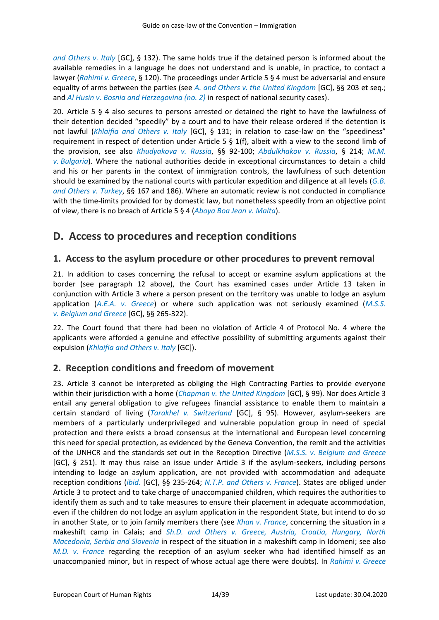*[and Others v. Italy](http://hudoc.echr.coe.int/eng?i=001-170054)* [GC], § 132). The same holds true if the detained person is informed about the available remedies in a language he does not understand and is unable, in practice, to contact a lawyer (*[Rahimi v. Greece](http://hudoc.echr.coe.int/eng?i=001-104366)*, § 120). The proceedings under Article 5 § 4 must be adversarial and ensure equality of arms between the parties (see *A. and Others v. [the United Kingdom](http://hudoc.echr.coe.int/eng?i=001-91403)* [GC], §§ 203 et seq.; and *[Al Husin v. Bosnia and Herzegovina \(no. 2\)](http://hudoc.echr.coe.int/eng?i=001-194065)* in respect of national security cases).

20. Article 5 § 4 also secures to persons arrested or detained the right to have the lawfulness of their detention decided "speedily" by a court and to have their release ordered if the detention is not lawful (*[Khlaifia and Others v. Italy](http://hudoc.echr.coe.int/eng?i=001-170054)* [GC], § 131; in relation to case-law on the "speediness" requirement in respect of detention under Article 5 § 1(f), albeit with a view to the second limb of the provision, see also *[Khudyakova v. Russia](http://hudoc.echr.coe.int/eng?i=001-90482)*, §§ 92-100; *[Abdulkhakov v. Russia](http://hudoc.echr.coe.int/eng?i=001-113287)*, § 214; *[M.M.](http://hudoc.echr.coe.int/eng?i=001-174489)  v. [Bulgaria](http://hudoc.echr.coe.int/eng?i=001-174489)*). Where the national authorities decide in exceptional circumstances to detain a child and his or her parents in the context of immigration controls, the lawfulness of such detention should be examined by the national courts with particular expedition and diligence at all levels (*[G.B.](http://hudoc.echr.coe.int/eng?i=001-196612)  [and Others v. Turkey](http://hudoc.echr.coe.int/eng?i=001-196612)*, §§ 167 and 186). Where an automatic review is not conducted in compliance with the time-limits provided for by domestic law, but nonetheless speedily from an objective point of view, there is no breach of Article 5 § 4 (*[Aboya Boa Jean v. Malta](http://hudoc.echr.coe.int/eng?i=001-192066)*).

## <span id="page-13-0"></span>**D. Access to procedures and reception conditions**

### <span id="page-13-1"></span>**1. Access to the asylum procedure or other procedures to prevent removal**

21. In addition to cases concerning the refusal to accept or examine asylum applications at the border (see paragraph 12 above), the Court has examined cases under Article 13 taken in conjunction with Article 3 where a person present on the territory was unable to lodge an asylum application (*[A.E.A. v. Greece](http://hudoc.echr.coe.int/eng?i=001-181600)*) or where such application was not seriously examined (*[M.S.S.](http://hudoc.echr.coe.int/eng?i=001-103050)  v. [Belgium and Greece](http://hudoc.echr.coe.int/eng?i=001-103050)* [GC], §§ 265-322).

22. The Court found that there had been no violation of Article 4 of Protocol No. 4 where the applicants were afforded a genuine and effective possibility of submitting arguments against their expulsion (*[Khlaifia and Others v. Italy](http://hudoc.echr.coe.int/eng?i=001-170054)* [GC]).

### <span id="page-13-2"></span>**2. Reception conditions and freedom of movement**

23. Article 3 cannot be interpreted as obliging the High Contracting Parties to provide everyone within their jurisdiction with a home (*[Chapman v. the United Kingdom](http://hudoc.echr.coe.int/eng?i=001-59154)* [GC], § 99). Nor does Article 3 entail any general obligation to give refugees financial assistance to enable them to maintain a certain standard of living (*[Tarakhel v. Switzerland](http://hudoc.echr.coe.int/eng?i=001-148070)* [GC], § 95). However, asylum-seekers are members of a particularly underprivileged and vulnerable population group in need of special protection and there exists a broad consensus at the international and European level concerning this need for special protection, as evidenced by the Geneva Convention, the remit and the activities of the UNHCR and the standards set out in the Reception Directive (*[M.S.S. v. Belgium and Greece](http://hudoc.echr.coe.int/eng?i=001-103050)* [GC], § 251). It may thus raise an issue under Article 3 if the asylum-seekers, including persons intending to lodge an asylum application, are not provided with accommodation and adequate reception conditions (*[ibid.](http://hudoc.echr.coe.int/eng?i=001-103050)* [GC], §§ 235-264; *[N.T.P. and Others v. France](http://hudoc.echr.coe.int/eng?i=001-183431)*). States are obliged under Article 3 to protect and to take charge of unaccompanied children, which requires the authorities to identify them as such and to take measures to ensure their placement in adequate accommodation, even if the children do not lodge an asylum application in the respondent State, but intend to do so in another State, or to join family members there (see *[Khan v. France](http://hudoc.echr.coe.int/eng?i=001-191277)*, concerning the situation in a makeshift camp in Calais; and *[Sh.D. and Others v. Greece, Austria, Croatia, Hungary, North](http://hudoc.echr.coe.int/eng?i=001-193610)  [Macedonia, Serbia and Slovenia](http://hudoc.echr.coe.int/eng?i=001-193610)* in respect of the situation in a makeshift camp in Idomeni; see also *[M.D. v. France](http://hudoc.echr.coe.int/eng?i=001-196378)* regarding the reception of an asylum seeker who had identified himself as an unaccompanied minor, but in respect of whose actual age there were doubts). In *[Rahimi v.](http://hudoc.echr.coe.int/eng?i=001-104366) Greece*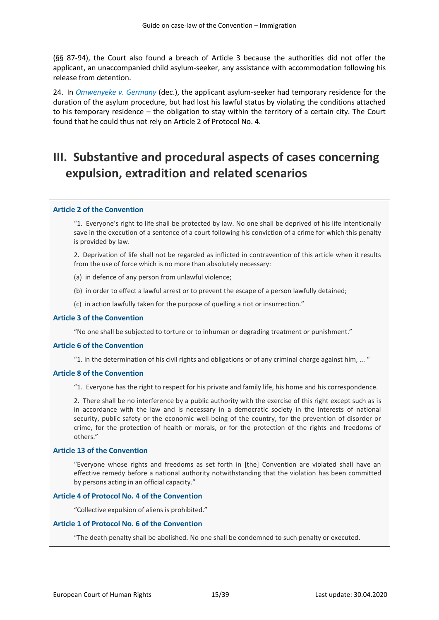(§§ 87-94), the Court also found a breach of Article 3 because the authorities did not offer the applicant, an unaccompanied child asylum-seeker, any assistance with accommodation following his release from detention.

24. In *[Omwenyeke v. Germany](http://hudoc.echr.coe.int/eng?i=001-83796)* (dec.), the applicant asylum-seeker had temporary residence for the duration of the asylum procedure, but had lost his lawful status by violating the conditions attached to his temporary residence – the obligation to stay within the territory of a certain city. The Court found that he could thus not rely on Article 2 of Protocol No. 4.

# <span id="page-14-0"></span>**III. Substantive and procedural aspects of cases concerning expulsion, extradition and related scenarios**

#### **Article 2 of the Convention**

"1. Everyone's right to life shall be protected by law. No one shall be deprived of his life intentionally save in the execution of a sentence of a court following his conviction of a crime for which this penalty is provided by law.

2. Deprivation of life shall not be regarded as inflicted in contravention of this article when it results from the use of force which is no more than absolutely necessary:

- (a) in defence of any person from unlawful violence;
- (b) in order to effect a lawful arrest or to prevent the escape of a person lawfully detained;
- (c) in action lawfully taken for the purpose of quelling a riot or insurrection."

#### **Article 3 of the Convention**

"No one shall be subjected to torture or to inhuman or degrading treatment or punishment."

#### **Article 6 of the Convention**

"1. In the determination of his civil rights and obligations or of any criminal charge against him, ... "

#### **Article 8 of the Convention**

"1. Everyone has the right to respect for his private and family life, his home and his correspondence.

2. There shall be no interference by a public authority with the exercise of this right except such as is in accordance with the law and is necessary in a democratic society in the interests of national security, public safety or the economic well-being of the country, for the prevention of disorder or crime, for the protection of health or morals, or for the protection of the rights and freedoms of others."

#### **Article 13 of the Convention**

"Everyone whose rights and freedoms as set forth in [the] Convention are violated shall have an effective remedy before a national authority notwithstanding that the violation has been committed by persons acting in an official capacity."

#### **Article 4 of Protocol No. 4 of the Convention**

"Collective expulsion of aliens is prohibited."

#### **Article 1 of Protocol No. 6 of the Convention**

"The death penalty shall be abolished. No one shall be condemned to such penalty or executed.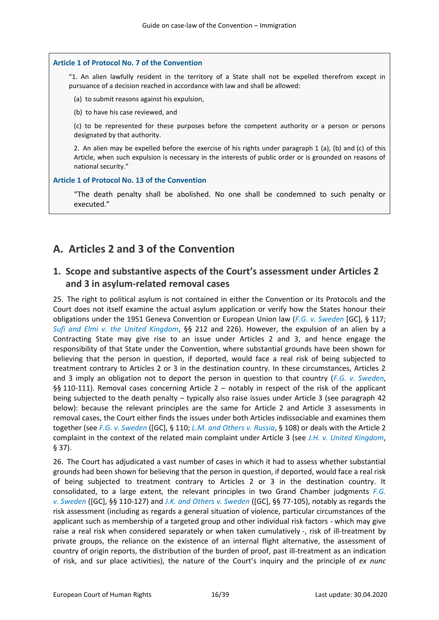#### **Article 1 of Protocol No. 7 of the Convention**

"1. An alien lawfully resident in the territory of a State shall not be expelled therefrom except in pursuance of a decision reached in accordance with law and shall be allowed:

- (a) to submit reasons against his expulsion,
- (b) to have his case reviewed, and

(c) to be represented for these purposes before the competent authority or a person or persons designated by that authority.

2. An alien may be expelled before the exercise of his rights under paragraph 1 (a), (b) and (c) of this Article, when such expulsion is necessary in the interests of public order or is grounded on reasons of national security."

#### **Article 1 of Protocol No. 13 of the Convention**

"The death penalty shall be abolished. No one shall be condemned to such penalty or executed."

## <span id="page-15-0"></span>**A. Articles 2 and 3 of the Convention**

### <span id="page-15-1"></span>**1. Scope and substantive aspects of the Court's assessment under Articles 2 and 3 in asylum-related removal cases**

25. The right to political asylum is not contained in either the Convention or its Protocols and the Court does not itself examine the actual asylum application or verify how the States honour their obligations under the 1951 Geneva Convention or European Union law (*[F.G. v. Sweden](http://hudoc.echr.coe.int/eng?i=001-161829)* [GC], § 117; *[Sufi and Elmi v. the United Kingdom](http://hudoc.echr.coe.int/eng?i=001-105434)*, §§ 212 and 226). However, the expulsion of an alien by a Contracting State may give rise to an issue under Articles 2 and 3, and hence engage the responsibility of that State under the Convention, where substantial grounds have been shown for believing that the person in question, if deported, would face a real risk of being subjected to treatment contrary to Articles 2 or 3 in the destination country. In these circumstances, Articles 2 and 3 imply an obligation not to deport the person in question to that country (*[F.G. v. Sweden](http://hudoc.echr.coe.int/eng?i=001-161829)*, §§ 110-111). Removal cases concerning Article 2 – notably in respect of the risk of the applicant being subjected to the death penalty – typically also raise issues under Article 3 (see paragraph 42 below): because the relevant principles are the same for Article 2 and Article 3 assessments in removal cases, the Court either finds the issues under both Articles indissociable and examines them together (see *[F.G. v. Sweden](http://hudoc.echr.coe.int/eng?i=001-161829)* ([GC], § 110; *[L.M. and Others v. Russia](http://hudoc.echr.coe.int/eng?i=001-157709)*, § 108) or deals with the Article 2 complaint in the context of the related main complaint under Article 3 (see *[J.H. v. United Kingdom](http://hudoc.echr.coe.int/eng?i=001-108157)*, § 37).

26. The Court has adjudicated a vast number of cases in which it had to assess whether substantial grounds had been shown for believing that the person in question, if deported, would face a real risk of being subjected to treatment contrary to Articles 2 or 3 in the destination country. It consolidated, to a large extent, the relevant principles in two Grand Chamber judgments *[F.G.](http://hudoc.echr.coe.int/eng?i=001-161829)  v. [Sweden](http://hudoc.echr.coe.int/eng?i=001-161829)* ([GC], §§ 110-127) and *[J.K. and Others v.](http://hudoc.echr.coe.int/eng?i=001-165442) Sweden* ([GC], §§ 77-105), notably as regards the risk assessment (including as regards a general situation of violence, particular circumstances of the applicant such as membership of a targeted group and other individual risk factors - which may give raise a real risk when considered separately or when taken cumulatively -, risk of ill-treatment by private groups, the reliance on the existence of an internal flight alternative, the assessment of country of origin reports, the distribution of the burden of proof, past ill-treatment as an indication of risk, and sur place activities), the nature of the Court's inquiry and the principle of *ex nunc*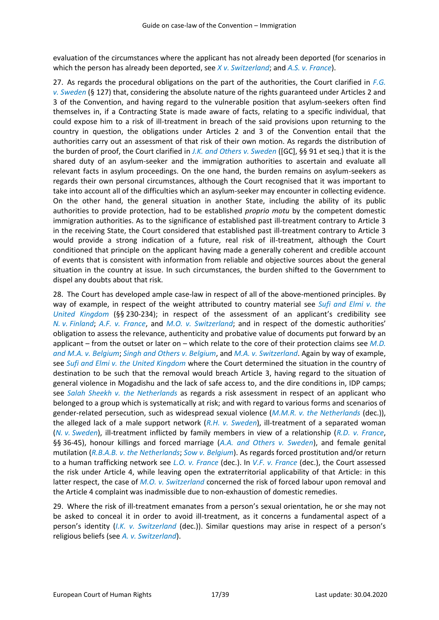evaluation of the circumstances where the applicant has not already been deported (for scenarios in which the person has already been deported, see *X v. [Switzerland](http://hudoc.echr.coe.int/eng?i=001-170467)*; and *[A.S. v. France](http://hudoc.echr.coe.int/eng?i=001-182629)*).

27. As regards the procedural obligations on the part of the authorities, the Court clarified in *[F.G.](http://hudoc.echr.coe.int/eng?i=001-161829)  v. [Sweden](http://hudoc.echr.coe.int/eng?i=001-161829)* (§ 127) that, considering the absolute nature of the rights guaranteed under Articles 2 and 3 of the Convention, and having regard to the vulnerable position that asylum-seekers often find themselves in, if a Contracting State is made aware of facts, relating to a specific individual, that could expose him to a risk of ill-treatment in breach of the said provisions upon returning to the country in question, the obligations under Articles 2 and 3 of the Convention entail that the authorities carry out an assessment of that risk of their own motion. As regards the distribution of the burden of proof, the Court clarified in *J.K. and [Others v.](http://hudoc.echr.coe.int/eng?i=001-165442) Sweden* ([GC], §§ 91 et seq.) that it is the shared duty of an asylum-seeker and the immigration authorities to ascertain and evaluate all relevant facts in asylum proceedings. On the one hand, the burden remains on asylum-seekers as regards their own personal circumstances, although the Court recognised that it was important to take into account all of the difficulties which an asylum-seeker may encounter in collecting evidence. On the other hand, the general situation in another State, including the ability of its public authorities to provide protection, had to be established *proprio motu* by the competent domestic immigration authorities. As to the significance of established past ill-treatment contrary to Article 3 in the receiving State, the Court considered that established past ill-treatment contrary to Article 3 would provide a strong indication of a future, real risk of ill-treatment, although the Court conditioned that principle on the applicant having made a generally coherent and credible account of events that is consistent with information from reliable and objective sources about the general situation in the country at issue. In such circumstances, the burden shifted to the Government to dispel any doubts about that risk.

28. The Court has developed ample case-law in respect of all of the above-mentioned principles. By way of example, in respect of the weight attributed to country material see *[Sufi and Elmi v. the](http://hudoc.echr.coe.int/eng?i=001-105434)  [United Kingdom](http://hudoc.echr.coe.int/eng?i=001-105434)* (§§ 230-234); in respect of the assessment of an applicant's credibility see *N. v. [Finland](http://hudoc.echr.coe.int/eng?i=001-69908)*; *[A.F. v. France](http://hudoc.echr.coe.int/eng?i=001-150714)*, and *[M.O. v. Switzerland](http://hudoc.echr.coe.int/eng?i=001-174424)*; and in respect of the domestic authorities' obligation to assess the relevance, authenticity and probative value of documents put forward by an applicant – from the outset or later on – which relate to the core of their protection claims see *[M.D.](http://hudoc.echr.coe.int/eng?i=001-160253)  [and M.A. v. Belgium](http://hudoc.echr.coe.int/eng?i=001-160253)*; *[Singh and Others v. Belgium](http://hudoc.echr.coe.int/eng?i=001-113660)*, and *[M.A. v. Switzerland](http://hudoc.echr.coe.int/eng?i=001-148078)*. Again by way of example, see *[Sufi and Elmi v. the United Kingdom](http://hudoc.echr.coe.int/eng?i=001-105434)* where the Court determined the situation in the country of destination to be such that the removal would breach Article 3, having regard to the situation of general violence in Mogadishu and the lack of safe access to, and the dire conditions in, IDP camps; see *[Salah Sheekh v. the Netherlands](http://hudoc.echr.coe.int/eng?i=001-78986)* as regards a risk assessment in respect of an applicant who belonged to a group which is systematically at risk; and with regard to various forms and scenarios of gender-related persecution, such as widespread sexual violence (*[M.M.R. v. the Netherlands](http://hudoc.echr.coe.int/eng?i=001-164166)* (dec.)), the alleged lack of a male support network (*[R.H. v. Sweden](http://hudoc.echr.coe.int/eng?i=001-157325)*), ill-treatment of a separated woman (*N. v. [Sweden](http://hudoc.echr.coe.int/eng?i=001-99992)*), ill-treatment inflicted by family members in view of a relationship (*[R.D. v. France](http://hudoc.echr.coe.int/eng?i=001-164293)*, §§ 36-45), honour killings and forced marriage (*[A.A. and Others v. Sweden](http://hudoc.echr.coe.int/eng?i=001-111553)*), and female genital mutilation (*[R.B.A.B. v. the Netherlands](http://hudoc.echr.coe.int/eng?i=001-163451)*; *[Sow v. Belgium](http://hudoc.echr.coe.int/eng?i=001-160241)*). As regards forced prostitution and/or return to a human trafficking network see *[L.O. v. France](http://hudoc.echr.coe.int/eng?i=001-155655)* (dec.). In *[V.F. v. France](http://hudoc.echr.coe.int/eng?i=001-108003)* (dec.), the Court assessed the risk under Article 4, while leaving open the extraterritorial applicability of that Article: in this latter respect, the case of *[M.O. v. Switzerland](http://hudoc.echr.coe.int/eng?i=001-174424)* concerned the risk of forced labour upon removal and the Article 4 complaint was inadmissible due to non-exhaustion of domestic remedies.

29. Where the risk of ill-treatment emanates from a person's sexual orientation, he or she may not be asked to conceal it in order to avoid ill-treatment, as it concerns a fundamental aspect of a person's identity (*[I.K. v. Switzerland](http://hudoc.echr.coe.int/eng?i=001-180412)* (dec.)). Similar questions may arise in respect of a person's religious beliefs (see *A. v. [Switzerland](http://hudoc.echr.coe.int/eng?i=001-179573)*).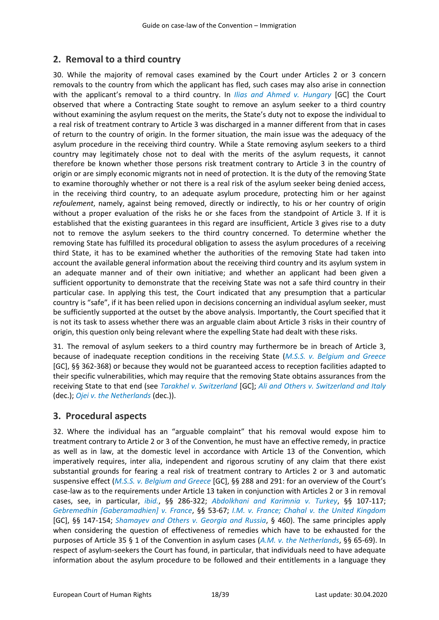### <span id="page-17-0"></span>**2. Removal to a third country**

30. While the majority of removal cases examined by the Court under Articles 2 or 3 concern removals to the country from which the applicant has fled, such cases may also arise in connection with the applicant's removal to a third country. In *[Ilias and Ahmed v. Hungary](http://hudoc.echr.coe.int/eng?i=001-198760)* [GC] the Court observed that where a Contracting State sought to remove an asylum seeker to a third country without examining the asylum request on the merits, the State's duty not to expose the individual to a real risk of treatment contrary to Article 3 was discharged in a manner different from that in cases of return to the country of origin. In the former situation, the main issue was the adequacy of the asylum procedure in the receiving third country. While a State removing asylum seekers to a third country may legitimately chose not to deal with the merits of the asylum requests, it cannot therefore be known whether those persons risk treatment contrary to Article 3 in the country of origin or are simply economic migrants not in need of protection. It is the duty of the removing State to examine thoroughly whether or not there is a real risk of the asylum seeker being denied access, in the receiving third country, to an adequate asylum procedure, protecting him or her against *refoulement*, namely, against being removed, directly or indirectly, to his or her country of origin without a proper evaluation of the risks he or she faces from the standpoint of Article 3. If it is established that the existing guarantees in this regard are insufficient, Article 3 gives rise to a duty not to remove the asylum seekers to the third country concerned. To determine whether the removing State has fulfilled its procedural obligation to assess the asylum procedures of a receiving third State, it has to be examined whether the authorities of the removing State had taken into account the available general information about the receiving third country and its asylum system in an adequate manner and of their own initiative; and whether an applicant had been given a sufficient opportunity to demonstrate that the receiving State was not a safe third country in their particular case. In applying this test, the Court indicated that any presumption that a particular country is "safe", if it has been relied upon in decisions concerning an individual asylum seeker, must be sufficiently supported at the outset by the above analysis. Importantly, the Court specified that it is not its task to assess whether there was an arguable claim about Article 3 risks in their country of origin, this question only being relevant where the expelling State had dealt with these risks.

31. The removal of asylum seekers to a third country may furthermore be in breach of Article 3, because of inadequate reception conditions in the receiving State (*[M.S.S. v. Belgium and Greece](http://hudoc.echr.coe.int/eng?i=001-103050)* [GC], §§ 362-368) or because they would not be guaranteed access to reception facilities adapted to their specific vulnerabilities, which may require that the removing State obtains assurances from the receiving State to that end (see *[Tarakhel v. Switzerland](http://hudoc.echr.coe.int/eng?i=001-148070)* [GC]; *[Ali and Others v. Switzerland and Italy](http://hudoc.echr.coe.int/eng?i=001-168401)* (dec.); *[Ojei v. the Netherlands](http://hudoc.echr.coe.int/eng?i=001-172934)* (dec.)).

### <span id="page-17-1"></span>**3. Procedural aspects**

32. Where the individual has an "arguable complaint" that his removal would expose him to treatment contrary to Article 2 or 3 of the Convention, he must have an effective remedy, in practice as well as in law, at the domestic level in accordance with Article 13 of the Convention, which imperatively requires, inter alia, independent and rigorous scrutiny of any claim that there exist substantial grounds for fearing a real risk of treatment contrary to Articles 2 or 3 and automatic suspensive effect (*[M.S.S. v. Belgium and Greece](http://hudoc.echr.coe.int/eng?i=001-103050)* [GC], §§ 288 and 291: for an overview of the Court's case-law as to the requirements under Article 13 taken in conjunction with Articles 2 or 3 in removal cases, see, in particular, *[ibid.](http://hudoc.echr.coe.int/eng?i=001-103050)*, §§ 286-322; *[Abdolkhani and Karimnia v. Turkey](http://hudoc.echr.coe.int/eng?i=001-94127)*, §§ 107-117; *[Gebremedhin \[Gaberamadhien\] v. France](http://hudoc.echr.coe.int/eng?i=001-80333)*, §§ 53-67; *[I.M. v. France;](http://hudoc.echr.coe.int/eng?i=001-108935) [Chahal v. the United Kingdom](http://hudoc.echr.coe.int/eng?i=001-58004)* [GC], §§ 147-154; *[Shamayev and Others v. Georgia and Russia](http://hudoc.echr.coe.int/eng?i=001-68790)*, § 460). The same principles apply when considering the question of effectiveness of remedies which have to be exhausted for the purposes of Article 35 § 1 of the Convention in asylum cases (*[A.M. v. the Netherlands](http://hudoc.echr.coe.int/eng?i=001-164460)*, §§ 65-69). In respect of asylum-seekers the Court has found, in particular, that individuals need to have adequate information about the asylum procedure to be followed and their entitlements in a language they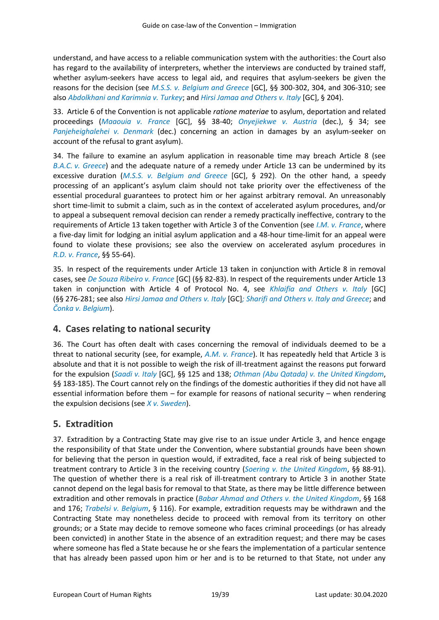understand, and have access to a reliable communication system with the authorities: the Court also has regard to the availability of interpreters, whether the interviews are conducted by trained staff, whether asylum-seekers have access to legal aid, and requires that asylum-seekers be given the reasons for the decision (see *[M.S.S. v. Belgium and Greece](http://hudoc.echr.coe.int/eng?i=001-103050)* [GC], §§ 300-302, 304, and 306-310; see also *[Abdolkhani and Karimnia v. Turkey](http://hudoc.echr.coe.int/eng?i=001-94127)*; and *[Hirsi Jamaa and Others v. Italy](http://hudoc.echr.coe.int/eng?i=001-109231)* [GC], § 204).

33. Article 6 of the Convention is not applicable *ratione materiae* to asylum, deportation and related proceedings (*[Maaouia v. France](http://hudoc.echr.coe.int/eng?i=001-58847)* [GC], §§ 38-40; *[Onyejiekwe v. Austria](http://hudoc.echr.coe.int/eng?i=001-114301)* (dec.), § 34; see *[Panjeheighalehei v. Denmark](http://hudoc.echr.coe.int/eng?i=001-95460)* (dec.) concerning an action in damages by an asylum-seeker on account of the refusal to grant asylum).

34. The failure to examine an asylum application in reasonable time may breach Article 8 (see *B.A.C. [v. Greece](http://hudoc.echr.coe.int/eng?i=001-167806)*) and the adequate nature of a remedy under Article 13 can be undermined by its excessive duration (*[M.S.S. v. Belgium and Greece](http://hudoc.echr.coe.int/eng?i=001-103050)* [GC], § 292)*.* On the other hand, a speedy processing of an applicant's asylum claim should not take priority over the effectiveness of the essential procedural guarantees to protect him or her against arbitrary removal. An unreasonably short time-limit to submit a claim, such as in the context of accelerated asylum procedures, and/or to appeal a subsequent removal decision can render a remedy practically ineffective, contrary to the requirements of Article 13 taken together with Article 3 of the Convention (see *[I.M. v. France](http://hudoc.echr.coe.int/eng?i=001-108935)*, where a five-day limit for lodging an initial asylum application and a 48-hour time-limit for an appeal were found to violate these provisions; see also the overview on accelerated asylum procedures in *R.D. v. [France](http://hudoc.echr.coe.int/eng?i=001-163615)*, §§ 55-64).

35. In respect of the requirements under Article 13 taken in conjunction with Article 8 in removal cases, see *[De Souza Ribeiro v. France](http://hudoc.echr.coe.int/eng?i=001-115498)* [GC] (§§ 82-83). In respect of the requirements under Article 13 taken in conjunction with Article 4 of Protocol No. 4, see *[Khlaifia and Others v. Italy](http://hudoc.echr.coe.int/eng?i=001-170054)* [GC] (§§ 276-281; see also *[Hirsi Jamaa and Others v. Italy](http://hudoc.echr.coe.int/eng?i=001-109231)* [GC]*; [Sharifi and Others v. Italy and Greece](http://hudoc.echr.coe.int/eng?i=001-147702)*; and *[Čonka v. Belgium](http://hudoc.echr.coe.int/eng?i=001-60026)*).

### <span id="page-18-0"></span>**4. Cases relating to national security**

36. The Court has often dealt with cases concerning the removal of individuals deemed to be a threat to national security (see, for example, *[A.M. v. France](http://hudoc.echr.coe.int/eng?i=001-192926)*). It has repeatedly held that Article 3 is absolute and that it is not possible to weigh the risk of ill-treatment against the reasons put forward for the expulsion (*[Saadi v. Italy](http://hudoc.echr.coe.int/eng?i=001-85276)* [GC], §§ 125 and 138; *[Othman \(Abu Qatada\) v. the United Kingdom](http://hudoc.echr.coe.int/eng?i=001-108629)*, §§ 183-185). The Court cannot rely on the findings of the domestic authorities if they did not have all essential information before them – for example for reasons of national security – when rendering the expulsion decisions (see *X [v. Sweden](http://hudoc.echr.coe.int/eng?i=001-180018)*).

### <span id="page-18-1"></span>**5. Extradition**

37. Extradition by a Contracting State may give rise to an issue under Article 3, and hence engage the responsibility of that State under the Convention, where substantial grounds have been shown for believing that the person in question would, if extradited, face a real risk of being subjected to treatment contrary to Article 3 in the receiving country (*[Soering v. the United Kingdom](http://hudoc.echr.coe.int/eng?i=001-57619)*, §§ 88-91). The question of whether there is a real risk of ill-treatment contrary to Article 3 in another State cannot depend on the legal basis for removal to that State, as there may be little difference between extradition and other removals in practice (*[Babar Ahmad and Others v. the United Kingdom](http://hudoc.echr.coe.int/eng?i=001-110267)*, §§ 168 and 176; *[Trabelsi v. Belgium](http://hudoc.echr.coe.int/eng?i=001-146372)*, § 116). For example, extradition requests may be withdrawn and the Contracting State may nonetheless decide to proceed with removal from its territory on other grounds; or a State may decide to remove someone who faces criminal proceedings (or has already been convicted) in another State in the absence of an extradition request; and there may be cases where someone has fled a State because he or she fears the implementation of a particular sentence that has already been passed upon him or her and is to be returned to that State, not under any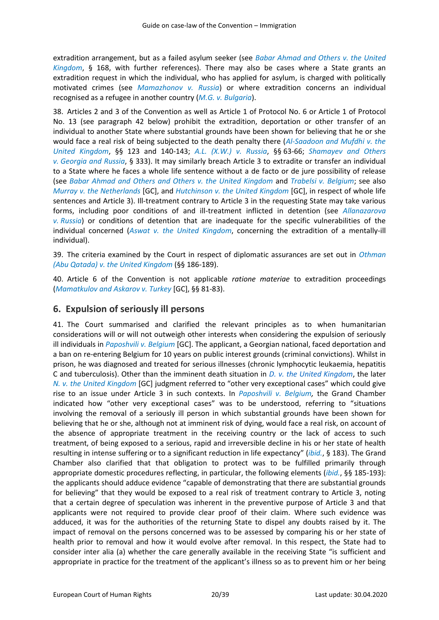extradition arrangement, but as a failed asylum seeker (see *[Babar Ahmad and Others v. the United](http://hudoc.echr.coe.int/eng?i=001-110267)  [Kingdom](http://hudoc.echr.coe.int/eng?i=001-110267)*, § 168, with further references). There may also be cases where a State grants an extradition request in which the individual, who has applied for asylum, is charged with politically motivated crimes (see *[Mamazhonov v. Russia](http://hudoc.echr.coe.int/eng?i=001-147333)*) or where extradition concerns an individual recognised as a refugee in another country (*M.G. v. [Bulgaria](http://hudoc.echr.coe.int/eng?i=001-142125)*).

38. Articles 2 and 3 of the Convention as well as Article 1 of Protocol No. 6 or Article 1 of Protocol No. 13 (see paragraph 42 below) prohibit the extradition, deportation or other transfer of an individual to another State where substantial grounds have been shown for believing that he or she would face a real risk of being subjected to the death penalty there (*[Al-Saadoon and Mufdhi v. the](http://hudoc.echr.coe.int/eng?i=001-97575)  [United Kingdom](http://hudoc.echr.coe.int/eng?i=001-97575)*, §§ 123 and 140-143; *[A.L. \(X.W.\) v. Russia](http://hudoc.echr.coe.int/eng?i=001-158148)*, §§ 63-66; *[Shamayev and Others](http://hudoc.echr.coe.int/eng?i=001-68790)  v. [Georgia and Russia](http://hudoc.echr.coe.int/eng?i=001-68790)*, § 333). It may similarly breach Article 3 to extradite or transfer an individual to a State where he faces a whole life sentence without a de facto or de jure possibility of release (see *[Babar Ahmad and Others and Others v. the United Kingdom](http://hudoc.echr.coe.int/eng?i=001-110267)* and *[Trabelsi v. Belgium](http://hudoc.echr.coe.int/eng?i=001-146372)*; see also *[Murray v. the Netherlands](http://hudoc.echr.coe.int/eng?i=001-162614)* [GC], and *[Hutchinson v. the United Kingdom](http://hudoc.echr.coe.int/eng?i=001-170347)* [GC], in respect of whole life sentences and Article 3). Ill-treatment contrary to Article 3 in the requesting State may take various forms, including poor conditions of and ill-treatment inflicted in detention (see *[Allanazarova](http://hudoc.echr.coe.int/eng?i=001-171100)  v. [Russia](http://hudoc.echr.coe.int/eng?i=001-171100)*) or conditions of detention that are inadequate for the specific vulnerabilities of the individual concerned (*[Aswat v. the United Kingdom](http://hudoc.echr.coe.int/eng?i=001-118583)*, concerning the extradition of a mentally-ill individual).

39. The criteria examined by the Court in respect of diplomatic assurances are set out in *[Othman](http://hudoc.echr.coe.int/eng?i=001-108629)  [\(Abu Qatada\) v. the United Kingdom](http://hudoc.echr.coe.int/eng?i=001-108629)* (§§ 186-189).

40. Article 6 of the Convention is not applicable *ratione materiae* to extradition proceedings (*[Mamatkulov and Askarov v. Turkey](http://hudoc.echr.coe.int/eng?i=001-68183)* [GC], §§ 81-83).

### <span id="page-19-0"></span>**6. Expulsion of seriously ill persons**

41. The Court summarised and clarified the relevant principles as to when humanitarian considerations will or will not outweigh other interests when considering the expulsion of seriously ill individuals in *[Paposhvili v. Belgium](http://hudoc.echr.coe.int/eng?i=001-169662)* [GC]. The applicant, a Georgian national, faced deportation and a ban on re-entering Belgium for 10 years on public interest grounds (criminal convictions). Whilst in prison, he was diagnosed and treated for serious illnesses (chronic lymphocytic leukaemia, hepatitis C and tuberculosis). Other than the imminent death situation in *[D. v. the United Kingdom](http://hudoc.echr.coe.int/eng?i=001-58035)*, the later *[N. v. the United Kingdom](http://hudoc.echr.coe.int/eng?i=001-86490)* [GC] judgment referred to "other very exceptional cases" which could give rise to an issue under Article 3 in such contexts. In *[Paposhvili v. Belgium,](http://hudoc.echr.coe.int/eng?i=001-169662)* the Grand Chamber indicated how "other very exceptional cases" was to be understood, referring to "situations involving the removal of a seriously ill person in which substantial grounds have been shown for believing that he or she, although not at imminent risk of dying, would face a real risk, on account of the absence of appropriate treatment in the receiving country or the lack of access to such treatment, of being exposed to a serious, rapid and irreversible decline in his or her state of health resulting in intense suffering or to a significant reduction in life expectancy" (*[ibid.](http://hudoc.echr.coe.int/eng?i=001-169662)*, § 183). The Grand Chamber also clarified that that obligation to protect was to be fulfilled primarily through appropriate domestic procedures reflecting, in particular, the following elements (*[ibid.](http://hudoc.echr.coe.int/eng?i=001-169662)*, §§ 185-193): the applicants should adduce evidence "capable of demonstrating that there are substantial grounds for believing" that they would be exposed to a real risk of treatment contrary to Article 3, noting that a certain degree of speculation was inherent in the preventive purpose of Article 3 and that applicants were not required to provide clear proof of their claim. Where such evidence was adduced, it was for the authorities of the returning State to dispel any doubts raised by it. The impact of removal on the persons concerned was to be assessed by comparing his or her state of health prior to removal and how it would evolve after removal. In this respect, the State had to consider inter alia (a) whether the care generally available in the receiving State "is sufficient and appropriate in practice for the treatment of the applicant's illness so as to prevent him or her being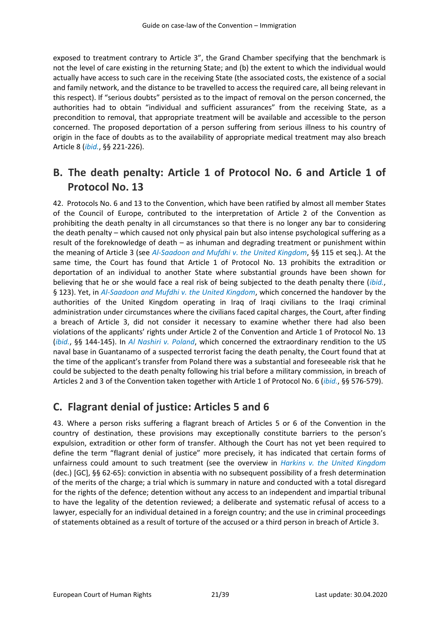exposed to treatment contrary to Article 3", the Grand Chamber specifying that the benchmark is not the level of care existing in the returning State; and (b) the extent to which the individual would actually have access to such care in the receiving State (the associated costs, the existence of a social and family network, and the distance to be travelled to access the required care, all being relevant in this respect). If "serious doubts" persisted as to the impact of removal on the person concerned, the authorities had to obtain "individual and sufficient assurances" from the receiving State, as a precondition to removal, that appropriate treatment will be available and accessible to the person concerned. The proposed deportation of a person suffering from serious illness to his country of origin in the face of doubts as to the availability of appropriate medical treatment may also breach Article 8 (*[ibid.](http://hudoc.echr.coe.int/eng?i=001-169662)*, §§ 221-226).

## <span id="page-20-0"></span>**B. The death penalty: Article 1 of Protocol No. 6 and Article 1 of Protocol No. 13**

42. Protocols No. 6 and 13 to the Convention, which have been ratified by almost all member States of the Council of Europe, contributed to the interpretation of Article 2 of the Convention as prohibiting the death penalty in all circumstances so that there is no longer any bar to considering the death penalty – which caused not only physical pain but also intense psychological suffering as a result of the foreknowledge of death – as inhuman and degrading treatment or punishment within the meaning of Article 3 (see *[Al-Saadoon and Mufdhi v. the United Kingdom](http://hudoc.echr.coe.int/eng?i=001-97575)*, §§ 115 et seq.). At the same time, the Court has found that Article 1 of Protocol No. 13 prohibits the extradition or deportation of an individual to another State where substantial grounds have been shown for believing that he or she would face a real risk of being subjected to the death penalty there (*[ibid.](http://hudoc.echr.coe.int/eng?i=001-97575)*, § 123). Yet, in *[Al-Saadoon and Mufdhi v. the United Kingdom](http://hudoc.echr.coe.int/eng?i=001-97575)*, which concerned the handover by the authorities of the United Kingdom operating in Iraq of Iraqi civilians to the Iraqi criminal administration under circumstances where the civilians faced capital charges, the Court, after finding a breach of Article 3, did not consider it necessary to examine whether there had also been violations of the applicants' rights under Article 2 of the Convention and Article 1 of Protocol No. 13 (*[ibid.](http://hudoc.echr.coe.int/eng?i=001-97575)*, §§ 144-145). In *[Al Nashiri v. Poland](http://hudoc.echr.coe.int/eng?i=001-146044)*, which concerned the extraordinary rendition to the US naval base in Guantanamo of a suspected terrorist facing the death penalty, the Court found that at the time of the applicant's transfer from Poland there was a substantial and foreseeable risk that he could be subjected to the death penalty following his trial before a military commission, in breach of Articles 2 and 3 of the Convention taken together with Article 1 of Protocol No. 6 (*[ibid.](http://hudoc.echr.coe.int/eng?i=001-146044)*, §§ 576-579).

## <span id="page-20-1"></span>**C. Flagrant denial of justice: Articles 5 and 6**

43. Where a person risks suffering a flagrant breach of Articles 5 or 6 of the Convention in the country of destination, these provisions may exceptionally constitute barriers to the person's expulsion, extradition or other form of transfer. Although the Court has not yet been required to define the term "flagrant denial of justice" more precisely, it has indicated that certain forms of unfairness could amount to such treatment (see the overview in *[Harkins v. the United Kingdom](http://hudoc.echr.coe.int/eng?i=001-175502)* (dec.) [GC], §§ 62-65): conviction in absentia with no subsequent possibility of a fresh determination of the merits of the charge; a trial which is summary in nature and conducted with a total disregard for the rights of the defence; detention without any access to an independent and impartial tribunal to have the legality of the detention reviewed; a deliberate and systematic refusal of access to a lawyer, especially for an individual detained in a foreign country; and the use in criminal proceedings of statements obtained as a result of torture of the accused or a third person in breach of Article 3.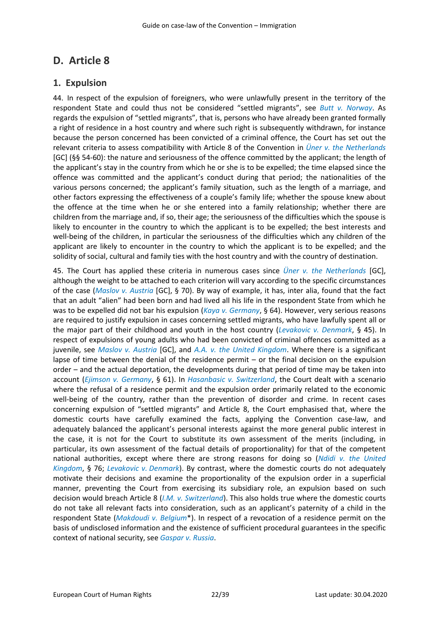## <span id="page-21-0"></span>**D. Article 8**

### <span id="page-21-1"></span>**1. Expulsion**

44. In respect of the expulsion of foreigners, who were unlawfully present in the territory of the respondent State and could thus not be considered "settled migrants", see *[Butt v. Norway](http://hudoc.echr.coe.int/eng?i=001-115012)*. As regards the expulsion of "settled migrants", that is, persons who have already been granted formally a right of residence in a host country and where such right is subsequently withdrawn, for instance because the person concerned has been convicted of a criminal offence, the Court has set out the relevant criteria to assess compatibility with Article 8 of the Convention in *[Üner v. the Netherlands](http://hudoc.echr.coe.int/eng?i=001-77542)* [GC] (§§ 54-60): the nature and seriousness of the offence committed by the applicant; the length of the applicant's stay in the country from which he or she is to be expelled; the time elapsed since the offence was committed and the applicant's conduct during that period; the nationalities of the various persons concerned; the applicant's family situation, such as the length of a marriage, and other factors expressing the effectiveness of a couple's family life; whether the spouse knew about the offence at the time when he or she entered into a family relationship; whether there are children from the marriage and, if so, their age; the seriousness of the difficulties which the spouse is likely to encounter in the country to which the applicant is to be expelled; the best interests and well-being of the children, in particular the seriousness of the difficulties which any children of the applicant are likely to encounter in the country to which the applicant is to be expelled; and the solidity of social, cultural and family ties with the host country and with the country of destination.

45. The Court has applied these criteria in numerous cases since *[Üner v. the Netherlands](http://hudoc.echr.coe.int/eng?i=001-77542)* [GC], although the weight to be attached to each criterion will vary according to the specific circumstances of the case (*[Maslov v. Austria](http://hudoc.echr.coe.int/eng?i=001-87156)* [GC], § 70). By way of example, it has, inter alia, found that the fact that an adult "alien" had been born and had lived all his life in the respondent State from which he was to be expelled did not bar his expulsion (*[Kaya v. Germany](http://hudoc.echr.coe.int/eng?i=001-81338)*, § 64). However, very serious reasons are required to justify expulsion in cases concerning settled migrants, who have lawfully spent all or the major part of their childhood and youth in the host country (*[Levakovic v. Denmark](http://hudoc.echr.coe.int/eng?i=001-187203)*, § 45). In respect of expulsions of young adults who had been convicted of criminal offences committed as a juvenile, see *[Maslov v. Austria](http://hudoc.echr.coe.int/eng?i=001-87156)* [GC], and *[A.A. v. the United Kingdom](http://hudoc.echr.coe.int/eng?i=001-106282)*. Where there is a significant lapse of time between the denial of the residence permit – or the final decision on the expulsion order – and the actual deportation, the developments during that period of time may be taken into account (*[Ejimson v. Germany](http://hudoc.echr.coe.int/eng?i=001-181177)*, § 61). In *[Hasanbasic v. Switzerland](http://hudoc.echr.coe.int/eng?i=001-120947)*, the Court dealt with a scenario where the refusal of a residence permit and the expulsion order primarily related to the economic well-being of the country, rather than the prevention of disorder and crime. In recent cases concerning expulsion of "settled migrants" and Article 8, the Court emphasised that, where the domestic courts have carefully examined the facts, applying the Convention case-law, and adequately balanced the applicant's personal interests against the more general public interest in the case, it is not for the Court to substitute its own assessment of the merits (including, in particular, its own assessment of the factual details of proportionality) for that of the competent national authorities, except where there are strong reasons for doing so (*[Ndidi v. the United](http://hudoc.echr.coe.int/eng?i=001-176931)  [Kingdom](http://hudoc.echr.coe.int/eng?i=001-176931)*, § 76; *[Levakovic v.](http://hudoc.echr.coe.int/eng?i=001-187203) Denmark*). By contrast, where the domestic courts do not adequately motivate their decisions and examine the proportionality of the expulsion order in a superficial manner, preventing the Court from exercising its subsidiary role, an expulsion based on such decision would breach Article 8 (*[I.M. v. Switzerland](http://hudoc.echr.coe.int/eng?i=001-192201)*). This also holds true where the domestic courts do not take all relevant facts into consideration, such as an applicant's paternity of a child in the respondent State (*[Makdoudi v. Belgium](http://hudoc.echr.coe.int/eng?i=001-201347)*\*). In respect of a revocation of a residence permit on the basis of undisclosed information and the existence of sufficient procedural guarantees in the specific context of national security, see *[Gaspar v. Russia](http://hudoc.echr.coe.int/eng?i=001-183543)*.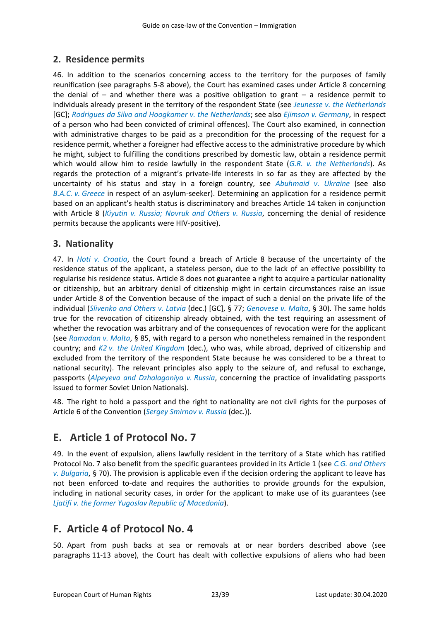### <span id="page-22-0"></span>**2. Residence permits**

46. In addition to the scenarios concerning access to the territory for the purposes of family reunification (see paragraphs 5-8 above), the Court has examined cases under Article 8 concerning the denial of  $-$  and whether there was a positive obligation to grant  $-$  a residence permit to individuals already present in the territory of the respondent State (see *[Jeunesse v. the Netherlands](http://hudoc.echr.coe.int/eng?i=001-147117)* [GC]; *[Rodrigues da Silva and Hoogkamer v. the Netherlands](http://hudoc.echr.coe.int/eng?i=001-72205)*; see also *[Ejimson v.](http://hudoc.echr.coe.int/eng?i=001-181177) Germany*, in respect of a person who had been convicted of criminal offences). The Court also examined, in connection with administrative charges to be paid as a precondition for the processing of the request for a residence permit, whether a foreigner had effective access to the administrative procedure by which he might, subject to fulfilling the conditions prescribed by domestic law, obtain a residence permit which would allow him to reside lawfully in the respondent State (*[G.R. v. the Netherlands](http://hudoc.echr.coe.int/eng?i=001-108436)*). As regards the protection of a migrant's private-life interests in so far as they are affected by the uncertainty of his status and stay in a foreign country, see *[Abuhmaid v. Ukraine](http://hudoc.echr.coe.int/eng?i=001-170285)* (see also *B.A.C. v. [Greece](http://hudoc.echr.coe.int/eng?i=001-167806)* in respect of an asylum-seeker). Determining an application for a residence permit based on an applicant's health status is discriminatory and breaches Article 14 taken in conjunction with Article 8 (*[Kiyutin v. Russia;](http://hudoc.echr.coe.int/eng?i=001-103904) [Novruk and Others v. Russia](http://hudoc.echr.coe.int/eng?i=001-161379)*, concerning the denial of residence permits because the applicants were HIV-positive).

### <span id="page-22-1"></span>**3. Nationality**

47. In *[Hoti v. Croatia](http://hudoc.echr.coe.int/eng?i=001-182448)*, the Court found a breach of Article 8 because of the uncertainty of the residence status of the applicant, a stateless person, due to the lack of an effective possibility to regularise his residence status. Article 8 does not guarantee a right to acquire a particular nationality or citizenship, but an arbitrary denial of citizenship might in certain circumstances raise an issue under Article 8 of the Convention because of the impact of such a denial on the private life of the individual (*[Slivenko and Others v. Latvia](http://hudoc.echr.coe.int/eng?i=001-22231)* (dec.) [GC], § 77; *[Genovese v. Malta](http://hudoc.echr.coe.int/eng?i=001-106785)*, § 30). The same holds true for the revocation of citizenship already obtained, with the test requiring an assessment of whether the revocation was arbitrary and of the consequences of revocation were for the applicant (see *[Ramadan v.](http://hudoc.echr.coe.int/eng?i=001-163820) Malta*, § 85, with regard to a person who nonetheless remained in the respondent country; and *K2 [v. the United Kingdom](http://hudoc.echr.coe.int/eng?i=001-172143)* (dec.), who was, while abroad, deprived of citizenship and excluded from the territory of the respondent State because he was considered to be a threat to national security). The relevant principles also apply to the seizure of, and refusal to exchange, passports (*[Alpeyeva and Dzhalagoniya v.](http://hudoc.echr.coe.int/eng?i=001-183537) Russia*, concerning the practice of invalidating passports issued to former Soviet Union Nationals).

48. The right to hold a passport and the right to nationality are not civil rights for the purposes of Article 6 of the Convention (*[Sergey Smirnov v. Russia](http://hudoc.echr.coe.int/eng?i=001-76823)* (dec.)).

## <span id="page-22-2"></span>**E. Article 1 of Protocol No. 7**

49. In the event of expulsion, aliens lawfully resident in the territory of a State which has ratified Protocol No. 7 also benefit from the specific guarantees provided in its Article 1 (see *[C.G. and](http://hudoc.echr.coe.int/eng?i=001-86093) Others [v. Bulgaria](http://hudoc.echr.coe.int/eng?i=001-86093)*, § 70). The provision is applicable even if the decision ordering the applicant to leave has not been enforced to-date and requires the authorities to provide grounds for the expulsion, including in national security cases, in order for the applicant to make use of its guarantees (see *[Ljatifi v. the former Yugoslav Republic of Macedonia](http://hudoc.echr.coe.int/eng?i=001-182871)*).

## <span id="page-22-3"></span>**F. Article 4 of Protocol No. 4**

50. Apart from push backs at sea or removals at or near borders described above (see paragraphs 11-13 above), the Court has dealt with collective expulsions of aliens who had been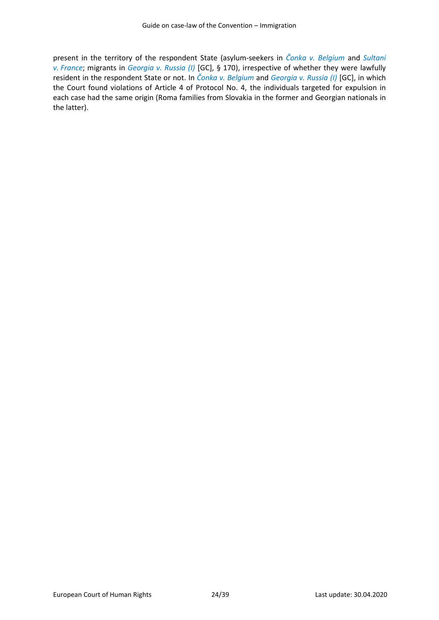present in the territory of the respondent State (asylum-seekers in *[Čonka v. Belgium](http://hudoc.echr.coe.int/eng?i=001-60026)* and *[Sultani](http://hudoc.echr.coe.int/eng?i=001-82337)  v. [France](http://hudoc.echr.coe.int/eng?i=001-82337)*; migrants in *[Georgia v. Russia \(I\)](http://hudoc.echr.coe.int/eng?i=001-145546)* [GC], § 170), irrespective of whether they were lawfully resident in the respondent State or not. In *[Čonka v. Belgium](http://hudoc.echr.coe.int/eng?i=001-60026)* and *[Georgia v. Russia \(I\)](http://hudoc.echr.coe.int/eng?i=001-145546)* [GC], in which the Court found violations of Article 4 of Protocol No. 4, the individuals targeted for expulsion in each case had the same origin (Roma families from Slovakia in the former and Georgian nationals in the latter).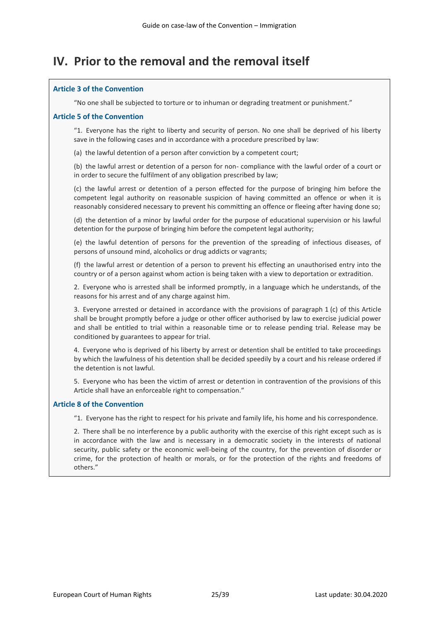# <span id="page-24-0"></span>**IV. Prior to the removal and the removal itself**

#### **Article 3 of the Convention**

"No one shall be subjected to torture or to inhuman or degrading treatment or punishment."

#### **Article 5 of the Convention**

"1. Everyone has the right to liberty and security of person. No one shall be deprived of his liberty save in the following cases and in accordance with a procedure prescribed by law:

(a) the lawful detention of a person after conviction by a competent court;

(b) the lawful arrest or detention of a person for non- compliance with the lawful order of a court or in order to secure the fulfilment of any obligation prescribed by law;

(c) the lawful arrest or detention of a person effected for the purpose of bringing him before the competent legal authority on reasonable suspicion of having committed an offence or when it is reasonably considered necessary to prevent his committing an offence or fleeing after having done so;

(d) the detention of a minor by lawful order for the purpose of educational supervision or his lawful detention for the purpose of bringing him before the competent legal authority;

(e) the lawful detention of persons for the prevention of the spreading of infectious diseases, of persons of unsound mind, alcoholics or drug addicts or vagrants;

(f) the lawful arrest or detention of a person to prevent his effecting an unauthorised entry into the country or of a person against whom action is being taken with a view to deportation or extradition.

2. Everyone who is arrested shall be informed promptly, in a language which he understands, of the reasons for his arrest and of any charge against him.

3. Everyone arrested or detained in accordance with the provisions of paragraph 1 (c) of this Article shall be brought promptly before a judge or other officer authorised by law to exercise judicial power and shall be entitled to trial within a reasonable time or to release pending trial. Release may be conditioned by guarantees to appear for trial.

4. Everyone who is deprived of his liberty by arrest or detention shall be entitled to take proceedings by which the lawfulness of his detention shall be decided speedily by a court and his release ordered if the detention is not lawful.

5. Everyone who has been the victim of arrest or detention in contravention of the provisions of this Article shall have an enforceable right to compensation."

#### **Article 8 of the Convention**

"1. Everyone has the right to respect for his private and family life, his home and his correspondence.

2. There shall be no interference by a public authority with the exercise of this right except such as is in accordance with the law and is necessary in a democratic society in the interests of national security, public safety or the economic well-being of the country, for the prevention of disorder or crime, for the protection of health or morals, or for the protection of the rights and freedoms of others."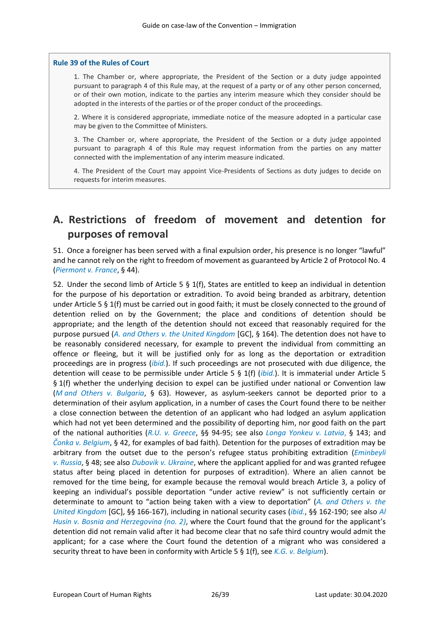#### **Rule 39 of the Rules of Court**

1. The Chamber or, where appropriate, the President of the Section or a duty judge appointed pursuant to paragraph 4 of this Rule may, at the request of a party or of any other person concerned, or of their own motion, indicate to the parties any interim measure which they consider should be adopted in the interests of the parties or of the proper conduct of the proceedings.

2. Where it is considered appropriate, immediate notice of the measure adopted in a particular case may be given to the Committee of Ministers.

3. The Chamber or, where appropriate, the President of the Section or a duty judge appointed pursuant to paragraph 4 of this Rule may request information from the parties on any matter connected with the implementation of any interim measure indicated.

4. The President of the Court may appoint Vice-Presidents of Sections as duty judges to decide on requests for interim measures.

## <span id="page-25-0"></span>**A. Restrictions of freedom of movement and detention for purposes of removal**

51. Once a foreigner has been served with a final expulsion order, his presence is no longer "lawful" and he cannot rely on the right to freedom of movement as guaranteed by Article 2 of Protocol No. 4 (*[Piermont v. France](http://hudoc.echr.coe.int/eng?i=001-57925)*, § 44).

52. Under the second limb of Article 5 § 1(f), States are entitled to keep an individual in detention for the purpose of his deportation or extradition. To avoid being branded as arbitrary, detention under Article 5 § 1(f) must be carried out in good faith; it must be closely connected to the ground of detention relied on by the Government; the place and conditions of detention should be appropriate; and the length of the detention should not exceed that reasonably required for the purpose pursued (*[A. and Others v. the United Kingdom](http://hudoc.echr.coe.int/eng?i=001-91403)* [GC], § 164). The detention does not have to be reasonably considered necessary, for example to prevent the individual from committing an offence or fleeing, but it will be justified only for as long as the deportation or extradition proceedings are in progress (*[ibid.](http://hudoc.echr.coe.int/eng?i=001-91403)*). If such proceedings are not prosecuted with due diligence, the detention will cease to be permissible under Article 5 § 1(f) (*[ibid.](http://hudoc.echr.coe.int/eng?i=001-91403)*). It is immaterial under Article 5 § 1(f) whether the underlying decision to expel can be justified under national or Convention law (*M [and Others v. Bulgaria](http://hudoc.echr.coe.int/eng?i=001-105788)*, § 63). However, as asylum-seekers cannot be deported prior to a determination of their asylum application, in a number of cases the Court found there to be neither a close connection between the detention of an applicant who had lodged an asylum application which had not yet been determined and the possibility of deporting him, nor good faith on the part of the national authorities (*[R.U. v. Greece](http://hudoc.echr.coe.int/eng?i=001-104959)*, §§ 94-95; see also *[Longa Yonkeu v. Latvia](http://hudoc.echr.coe.int/eng?i=001-107452)*, § 143; and *[Čonka v.](http://hudoc.echr.coe.int/eng?i=001-60026) Belgium*, § 42, for examples of bad faith). Detention for the purposes of extradition may be arbitrary from the outset due to the person's refugee status prohibiting extradition (*[Eminbeyli](http://hudoc.echr.coe.int/eng?i=001-91447)  v. [Russia](http://hudoc.echr.coe.int/eng?i=001-91447)*, § 48; see also *[Dubovik v. Ukraine](http://hudoc.echr.coe.int/eng?i=001-95081)*, where the applicant applied for and was granted refugee status after being placed in detention for purposes of extradition). Where an alien cannot be removed for the time being, for example because the removal would breach Article 3, a policy of keeping an individual's possible deportation "under active review" is not sufficiently certain or determinate to amount to "action being taken with a view to deportation" (*[A. and Others v. the](http://hudoc.echr.coe.int/eng?i=001-91403)  [United Kingdom](http://hudoc.echr.coe.int/eng?i=001-91403)* [GC], §§ 166-167), including in national security cases (*[ibid.](http://hudoc.echr.coe.int/eng?i=001-91403)*, §§ 162-190; see also *[Al](http://hudoc.echr.coe.int/eng?i=001-194065)  [Husin v. Bosnia and Herzegovina \(no. 2\)](http://hudoc.echr.coe.int/eng?i=001-194065)*, where the Court found that the ground for the applicant's detention did not remain valid after it had become clear that no safe third country would admit the applicant; for a case where the Court found the detention of a migrant who was considered a security threat to have been in conformity with Article 5 § 1(f), see *[K.G. v. Belgium](http://hudoc.echr.coe.int/eng?i=001-187511)*).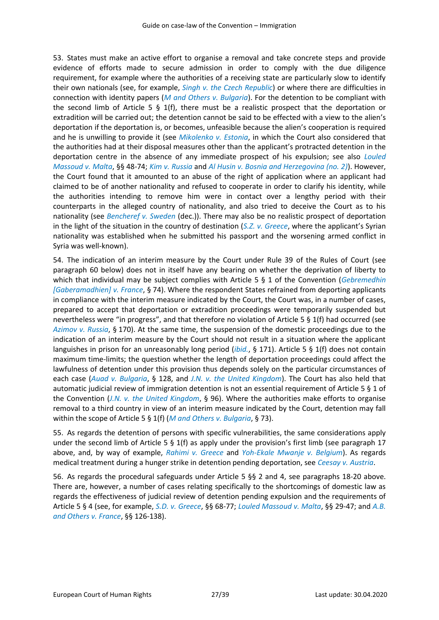53. States must make an active effort to organise a removal and take concrete steps and provide evidence of efforts made to secure admission in order to comply with the due diligence requirement, for example where the authorities of a receiving state are particularly slow to identify their own nationals (see, for example, *[Singh v. the Czech Republic](http://hudoc.echr.coe.int/eng?i=001-68085)*) or where there are difficulties in connection with identity papers (*[M and Others v. Bulgaria](http://hudoc.echr.coe.int/eng?i=001-105788)*). For the detention to be compliant with the second limb of Article 5  $\S$  1(f), there must be a realistic prospect that the deportation or extradition will be carried out; the detention cannot be said to be effected with a view to the alien's deportation if the deportation is, or becomes, unfeasible because the alien's cooperation is required and he is unwilling to provide it (see *[Mikolenko v. Estonia](http://hudoc.echr.coe.int/eng?i=001-94863)*, in which the Court also considered that the authorities had at their disposal measures other than the applicant's protracted detention in the deportation centre in the absence of any immediate prospect of his expulsion; see also *[Louled](http://hudoc.echr.coe.int/eng?i=001-100143)  [Massoud v. Malta](http://hudoc.echr.coe.int/eng?i=001-100143)*, §§ 48-74; *[Kim v. Russia](http://hudoc.echr.coe.int/eng?i=001-145584)* and *[Al Husin v. Bosnia and Herzegovina \(no. 2\)](http://hudoc.echr.coe.int/eng?i=001-194065)*). However, the Court found that it amounted to an abuse of the right of application where an applicant had claimed to be of another nationality and refused to cooperate in order to clarify his identity, while the authorities intending to remove him were in contact over a lengthy period with their counterparts in the alleged country of nationality, and also tried to deceive the Court as to his nationality (see *[Bencheref v. Sweden](http://hudoc.echr.coe.int/eng?i=001-180195)* (dec.)). There may also be no realistic prospect of deportation in the light of the situation in the country of destination (*[S.Z. v. Greece](http://hudoc.echr.coe.int/eng?i=001-183816)*, where the applicant's Syrian nationality was established when he submitted his passport and the worsening armed conflict in Syria was well-known).

54. The indication of an interim measure by the Court under Rule 39 of the Rules of Court (see paragraph 60 below) does not in itself have any bearing on whether the deprivation of liberty to which that individual may be subject complies with Article 5 § 1 of the Convention (*[Gebremedhin](http://hudoc.echr.coe.int/eng?i=001-80333)  [\[Gaberamadhien\] v. France](http://hudoc.echr.coe.int/eng?i=001-80333)*, § 74). Where the respondent States refrained from deporting applicants in compliance with the interim measure indicated by the Court, the Court was, in a number of cases, prepared to accept that deportation or extradition proceedings were temporarily suspended but nevertheless were "in progress", and that therefore no violation of Article 5 § 1(f) had occurred (see *[Azimov v. Russia](http://hudoc.echr.coe.int/eng?i=001-118605)*, § 170). At the same time, the suspension of the domestic proceedings due to the indication of an interim measure by the Court should not result in a situation where the applicant languishes in prison for an unreasonably long period (*[ibid.](http://hudoc.echr.coe.int/eng?i=001-118605)*, § 171). Article 5 § 1(f) does not contain maximum time-limits; the question whether the length of deportation proceedings could affect the lawfulness of detention under this provision thus depends solely on the particular circumstances of each case (*[Auad v. Bulgaria](http://hudoc.echr.coe.int/eng?i=001-106668)*, § 128, and *[J.N. v. the United Kingdom](http://hudoc.echr.coe.int/eng?i=001-162855)*). The Court has also held that automatic judicial review of immigration detention is not an essential requirement of Article 5 § 1 of the Convention (*[J.N. v. the United Kingdom](http://hudoc.echr.coe.int/eng?i=001-162855)*, § 96). Where the authorities make efforts to organise removal to a third country in view of an interim measure indicated by the Court, detention may fall within the scope of Article 5 § 1(f) (*[M and Others v. Bulgaria](http://hudoc.echr.coe.int/eng?i=001-105788)*, § 73).

55. As regards the detention of persons with specific vulnerabilities, the same considerations apply under the second limb of Article 5  $\S$  1(f) as apply under the provision's first limb (see paragraph 17 above, and, by way of example, *[Rahimi v. Greece](http://hudoc.echr.coe.int/eng?i=001-104366)* and *[Yoh-Ekale Mwanje v. Belgium](http://hudoc.echr.coe.int/eng?i=001-108155)*). As regards medical treatment during a hunger strike in detention pending deportation, see *[Ceesay v. Austria](http://hudoc.echr.coe.int/eng?i=001-178962)*.

56. As regards the procedural safeguards under Article 5 §§ 2 and 4, see paragraphs 18-20 above. There are, however, a number of cases relating specifically to the shortcomings of domestic law as regards the effectiveness of judicial review of detention pending expulsion and the requirements of Article 5 § 4 (see, for example, *[S.D. v. Greece](http://hudoc.echr.coe.int/eng?i=001-93034)*, §§ 68-77; *[Louled Massoud v. Malta](http://hudoc.echr.coe.int/eng?i=001-100143)*, §§ 29-47; and *[A.B.](http://hudoc.echr.coe.int/eng?i=001-164678)  [and Others v. France](http://hudoc.echr.coe.int/eng?i=001-164678)*, §§ 126-138).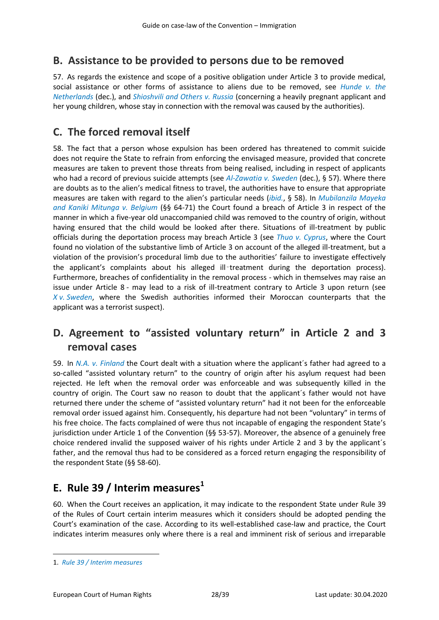## <span id="page-27-0"></span>**B. Assistance to be provided to persons due to be removed**

57. As regards the existence and scope of a positive obligation under Article 3 to provide medical, social assistance or other forms of assistance to aliens due to be removed, see *[Hunde v. the](http://hudoc.echr.coe.int/eng?i=001-165569)  [Netherlands](http://hudoc.echr.coe.int/eng?i=001-165569)* (dec.), and *[Shioshvili and Others v. Russia](http://hudoc.echr.coe.int/eng?i=001-169650)* (concerning a heavily pregnant applicant and her young children, whose stay in connection with the removal was caused by the authorities).

## <span id="page-27-1"></span>**C. The forced removal itself**

58. The fact that a person whose expulsion has been ordered has threatened to commit suicide does not require the State to refrain from enforcing the envisaged measure, provided that concrete measures are taken to prevent those threats from being realised, including in respect of applicants who had a record of previous suicide attempts (see *[Al-Zawatia v. Sweden](http://hudoc.echr.coe.int/eng?i=001-99987)* (dec.), § 57). Where there are doubts as to the alien's medical fitness to travel, the authorities have to ensure that appropriate measures are taken with regard to the alien's particular needs (*[ibid.](http://hudoc.echr.coe.int/eng?i=001-99987)*, § 58). In *[Mubilanzila Mayeka](http://hudoc.echr.coe.int/eng?i=001-77447)  [and Kaniki Mitunga v. Belgium](http://hudoc.echr.coe.int/eng?i=001-77447)* (§§ 64-71) the Court found a breach of Article 3 in respect of the manner in which a five-year old unaccompanied child was removed to the country of origin, without having ensured that the child would be looked after there. Situations of ill-treatment by public officials during the deportation process may breach Article 3 (see *[Thuo v. Cyprus](http://hudoc.echr.coe.int/eng?i=001-172459)*, where the Court found no violation of the substantive limb of Article 3 on account of the alleged ill-treatment, but a violation of the provision's procedural limb due to the authorities' failure to investigate effectively the applicant's complaints about his alleged ill-treatment during the deportation process). Furthermore, breaches of confidentiality in the removal process - which in themselves may raise an issue under Article 8 - may lead to a risk of ill-treatment contrary to Article 3 upon return (see *X v. [Sweden](http://hudoc.echr.coe.int/eng?i=001-180018)*, where the Swedish authorities informed their Moroccan counterparts that the applicant was a terrorist suspect).

## <span id="page-27-2"></span>**D. Agreement to "assisted voluntary return" in Article 2 and 3 removal cases**

59. In *[N.A. v. Finland](http://hudoc.echr.coe.int/eng?i=001-198465)* the Court dealt with a situation where the applicant´s father had agreed to a so-called "assisted voluntary return" to the country of origin after his asylum request had been rejected. He left when the removal order was enforceable and was subsequently killed in the country of origin. The Court saw no reason to doubt that the applicant´s father would not have returned there under the scheme of "assisted voluntary return" had it not been for the enforceable removal order issued against him. Consequently, his departure had not been "voluntary" in terms of his free choice. The facts complained of were thus not incapable of engaging the respondent State's jurisdiction under Article 1 of the Convention (§§ 53-57). Moreover, the absence of a genuinely free choice rendered invalid the supposed waiver of his rights under Article 2 and 3 by the applicant´s father, and the removal thus had to be considered as a forced return engaging the responsibility of the respondent State (§§ 58-60).

# <span id="page-27-3"></span>**E. Rule 39 / Interim measures<sup>1</sup>**

60. When the Court receives an application, it may indicate to the respondent State under Rule 39 of the Rules of Court certain interim measures which it considers should be adopted pending the Court's examination of the case. According to its well-established case-law and practice, the Court indicates interim measures only where there is a real and imminent risk of serious and irreparable

**.** 

<sup>1.</sup> *[Rule 39 / Interim](https://www.echr.coe.int/Documents/Interim_Measures_ENG.pdf) measures*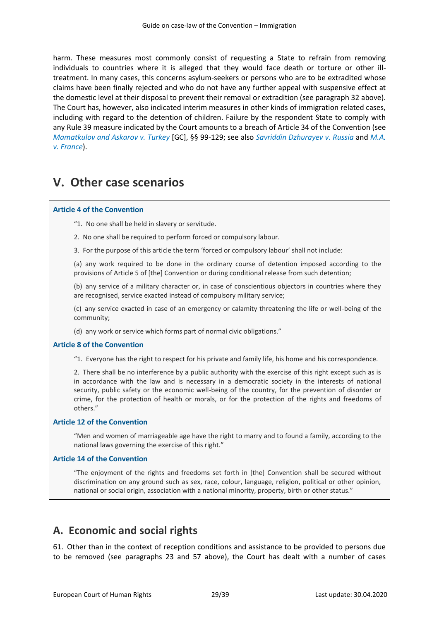harm. These measures most commonly consist of requesting a State to refrain from removing individuals to countries where it is alleged that they would face death or torture or other illtreatment. In many cases, this concerns asylum-seekers or persons who are to be extradited whose claims have been finally rejected and who do not have any further appeal with suspensive effect at the domestic level at their disposal to prevent their removal or extradition (see paragraph 32 above). The Court has, however, also indicated interim measures in other kinds of immigration related cases, including with regard to the detention of children. Failure by the respondent State to comply with any Rule 39 measure indicated by the Court amounts to a breach of Article 34 of the Convention (see *[Mamatkulov and Askarov v. Turkey](http://hudoc.echr.coe.int/eng?i=001-68183)* [GC], §§ 99-129; see also *[Savriddin Dzhurayev v. Russia](http://hudoc.echr.coe.int/eng?i=001-119416)* and *[M.A.](http://hudoc.echr.coe.int/eng?i=001-180488)  [v. France](http://hudoc.echr.coe.int/eng?i=001-180488)*).

## <span id="page-28-0"></span>**V. Other case scenarios**

#### **Article 4 of the Convention**

"1. No one shall be held in slavery or servitude.

2. No one shall be required to perform forced or compulsory labour.

3. For the purpose of this article the term 'forced or compulsory labour' shall not include:

(a) any work required to be done in the ordinary course of detention imposed according to the provisions of Article 5 of [the] Convention or during conditional release from such detention;

(b) any service of a military character or, in case of conscientious objectors in countries where they are recognised, service exacted instead of compulsory military service;

(c) any service exacted in case of an emergency or calamity threatening the life or well-being of the community;

(d) any work or service which forms part of normal civic obligations."

#### **Article 8 of the Convention**

"1. Everyone has the right to respect for his private and family life, his home and his correspondence.

2. There shall be no interference by a public authority with the exercise of this right except such as is in accordance with the law and is necessary in a democratic society in the interests of national security, public safety or the economic well-being of the country, for the prevention of disorder or crime, for the protection of health or morals, or for the protection of the rights and freedoms of others."

#### **Article 12 of the Convention**

"Men and women of marriageable age have the right to marry and to found a family, according to the national laws governing the exercise of this right."

#### **Article 14 of the Convention**

"The enjoyment of the rights and freedoms set forth in [the] Convention shall be secured without discrimination on any ground such as sex, race, colour, language, religion, political or other opinion, national or social origin, association with a national minority, property, birth or other status."

## <span id="page-28-1"></span>**A. Economic and social rights**

61. Other than in the context of reception conditions and assistance to be provided to persons due to be removed (see paragraphs 23 and 57 above), the Court has dealt with a number of cases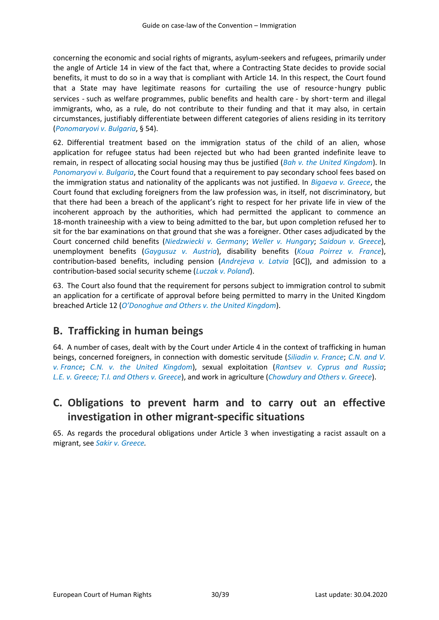concerning the economic and social rights of migrants, asylum-seekers and refugees, primarily under the angle of Article 14 in view of the fact that, where a Contracting State decides to provide social benefits, it must to do so in a way that is compliant with Article 14. In this respect, the Court found that a State may have legitimate reasons for curtailing the use of resource-hungry public services - such as welfare programmes, public benefits and health care - by short-term and illegal immigrants, who, as a rule, do not contribute to their funding and that it may also, in certain circumstances, justifiably differentiate between different categories of aliens residing in its territory (*[Ponomaryovi v. Bulgaria](http://hudoc.echr.coe.int/eng?i=001-105295)*, § 54).

62. Differential treatment based on the immigration status of the child of an alien, whose application for refugee status had been rejected but who had been granted indefinite leave to remain, in respect of allocating social housing may thus be justified (*[Bah v. the United Kingdom](http://hudoc.echr.coe.int/eng?i=001-106448)*). In *[Ponomaryovi v. Bulgaria](http://hudoc.echr.coe.int/eng?i=001-105295)*, the Court found that a requirement to pay secondary school fees based on the immigration status and nationality of the applicants was not justified. In *[Bigaeva v. Greece](http://hudoc.echr.coe.int/eng?i=001-92753)*, the Court found that excluding foreigners from the law profession was, in itself, not discriminatory, but that there had been a breach of the applicant's right to respect for her private life in view of the incoherent approach by the authorities, which had permitted the applicant to commence an 18-month traineeship with a view to being admitted to the bar, but upon completion refused her to sit for the bar examinations on that ground that she was a foreigner. Other cases adjudicated by the Court concerned child benefits (*[Niedzwiecki v. Germany](http://hudoc.echr.coe.int/eng?i=001-70765)*; *[Weller v. Hungary](http://hudoc.echr.coe.int/eng?i=001-91993)*; *[Saidoun v. Greece](http://hudoc.echr.coe.int/eng?i=001-101362)*), unemployment benefits (*[Gaygusuz v. Austria](http://hudoc.echr.coe.int/eng?i=001-58060)*), disability benefits (*[Koua Poirrez v. France](http://hudoc.echr.coe.int/eng?i=001-61317)*), contribution-based benefits, including pension (*[Andrejeva v. Latvia](http://hudoc.echr.coe.int/eng?i=001-91388)* [GC]), and admission to a contribution-based social security scheme (*[Luczak v. Poland](http://hudoc.echr.coe.int/eng?i=001-83464)*).

63. The Court also found that the requirement for persons subject to immigration control to submit an application for a certificate of approval before being permitted to marry in the United Kingdom breached Article 12 (*O'[Donoghue and Others v. the United Kingdom](http://hudoc.echr.coe.int/eng?i=001-102266)*).

## <span id="page-29-0"></span>**B. Trafficking in human beings**

64. A number of cases, dealt with by the Court under Article 4 in the context of trafficking in human beings, concerned foreigners, in connection with domestic servitude (*[Siliadin v. France](http://hudoc.echr.coe.int/eng?i=001-69891)*; *[C.N. and V.](http://hudoc.echr.coe.int/eng?i=001-114032)  v. [France](http://hudoc.echr.coe.int/eng?i=001-114032)*; *[C.N. v. the United Kingdom](http://hudoc.echr.coe.int/eng?i=001-114518)*), sexual exploitation (*[Rantsev v. Cyprus and Russia](http://hudoc.echr.coe.int/eng?i=001-96549)*; *L.E. v. [Greece;](http://hudoc.echr.coe.int/eng?i=001-160218) [T.I. and Others v. Greece](http://hudoc.echr.coe.int/eng?i=001-194441)*), and work in agriculture (*[Chowdury and Others v. Greece](http://hudoc.echr.coe.int/eng?i=001-172701)*).

## <span id="page-29-1"></span>**C. Obligations to prevent harm and to carry out an effective investigation in other migrant-specific situations**

65. As regards the procedural obligations under Article 3 when investigating a racist assault on a migrant, see *[Sakir v. Greece.](http://hudoc.echr.coe.int/eng?i=001-161541)*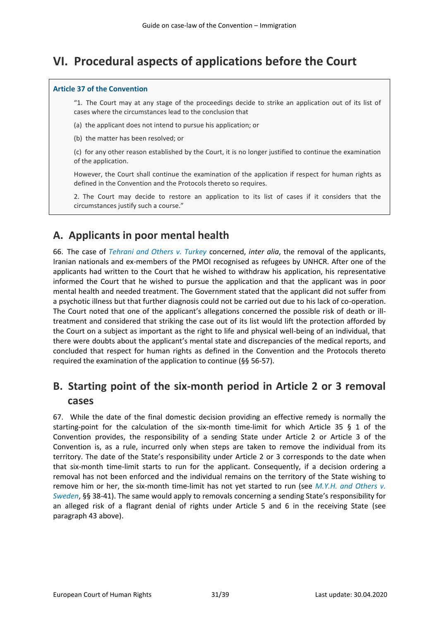# <span id="page-30-0"></span>**VI. Procedural aspects of applications before the Court**

#### **Article 37 of the Convention**

"1. The Court may at any stage of the proceedings decide to strike an application out of its list of cases where the circumstances lead to the conclusion that

- (a) the applicant does not intend to pursue his application; or
- (b) the matter has been resolved; or

(c) for any other reason established by the Court, it is no longer justified to continue the examination of the application.

However, the Court shall continue the examination of the application if respect for human rights as defined in the Convention and the Protocols thereto so requires.

2. The Court may decide to restore an application to its list of cases if it considers that the circumstances justify such a course."

## <span id="page-30-1"></span>**A. Applicants in poor mental health**

66. The case of *[Tehrani and Others v. Turkey](http://hudoc.echr.coe.int/eng?i=001-98259)* concerned, *inter alia*, the removal of the applicants, Iranian nationals and ex-members of the PMOI recognised as refugees by UNHCR. After one of the applicants had written to the Court that he wished to withdraw his application, his representative informed the Court that he wished to pursue the application and that the applicant was in poor mental health and needed treatment. The Government stated that the applicant did not suffer from a psychotic illness but that further diagnosis could not be carried out due to his lack of co-operation. The Court noted that one of the applicant's allegations concerned the possible risk of death or illtreatment and considered that striking the case out of its list would lift the protection afforded by the Court on a subject as important as the right to life and physical well-being of an individual, that there were doubts about the applicant's mental state and discrepancies of the medical reports, and concluded that respect for human rights as defined in the Convention and the Protocols thereto required the examination of the application to continue (§§ 56-57).

## <span id="page-30-2"></span>**B. Starting point of the six-month period in Article 2 or 3 removal cases**

67. While the date of the final domestic decision providing an effective remedy is normally the starting-point for the calculation of the six-month time-limit for which Article 35 § 1 of the Convention provides, the responsibility of a sending State under Article 2 or Article 3 of the Convention is, as a rule, incurred only when steps are taken to remove the individual from its territory. The date of the State's responsibility under Article 2 or 3 corresponds to the date when that six-month time-limit starts to run for the applicant. Consequently, if a decision ordering a removal has not been enforced and the individual remains on the territory of the State wishing to remove him or her, the six-month time-limit has not yet started to run (see *[M.Y.H. and Others v.](http://hudoc.echr.coe.int/eng?i=001-121567)  [Sweden](http://hudoc.echr.coe.int/eng?i=001-121567)*, §§ 38-41). The same would apply to removals concerning a sending State's responsibility for an alleged risk of a flagrant denial of rights under Article 5 and 6 in the receiving State (see paragraph 43 above).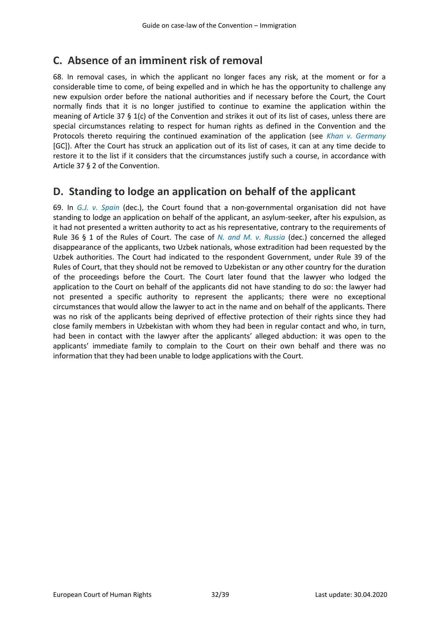## <span id="page-31-0"></span>**C. Absence of an imminent risk of removal**

68. In removal cases, in which the applicant no longer faces any risk, at the moment or for a considerable time to come, of being expelled and in which he has the opportunity to challenge any new expulsion order before the national authorities and if necessary before the Court, the Court normally finds that it is no longer justified to continue to examine the application within the meaning of Article 37 § 1(c) of the Convention and strikes it out of its list of cases, unless there are special circumstances relating to respect for human rights as defined in the Convention and the Protocols thereto requiring the continued examination of the application (see *[Khan v. Germany](http://hudoc.echr.coe.int/eng?i=001-166853)* [GC]). After the Court has struck an application out of its list of cases, it can at any time decide to restore it to the list if it considers that the circumstances justify such a course, in accordance with Article 37 § 2 of the Convention.

## <span id="page-31-1"></span>**D. Standing to lodge an application on behalf of the applicant**

69. In *[G.J. v. Spain](http://hudoc.echr.coe.int/eng?i=001-165241)* (dec.), the Court found that a non-governmental organisation did not have standing to lodge an application on behalf of the applicant, an asylum-seeker, after his expulsion, as it had not presented a written authority to act as his representative, contrary to the requirements of Rule 36 § 1 of the Rules of Court. The case of *[N. and M. v. Russia](http://hudoc.echr.coe.int/eng?i=001-163317)* (dec.) concerned the alleged disappearance of the applicants, two Uzbek nationals, whose extradition had been requested by the Uzbek authorities. The Court had indicated to the respondent Government, under Rule 39 of the Rules of Court, that they should not be removed to Uzbekistan or any other country for the duration of the proceedings before the Court. The Court later found that the lawyer who lodged the application to the Court on behalf of the applicants did not have standing to do so: the lawyer had not presented a specific authority to represent the applicants; there were no exceptional circumstances that would allow the lawyer to act in the name and on behalf of the applicants. There was no risk of the applicants being deprived of effective protection of their rights since they had close family members in Uzbekistan with whom they had been in regular contact and who, in turn, had been in contact with the lawyer after the applicants' alleged abduction: it was open to the applicants' immediate family to complain to the Court on their own behalf and there was no information that they had been unable to lodge applications with the Court.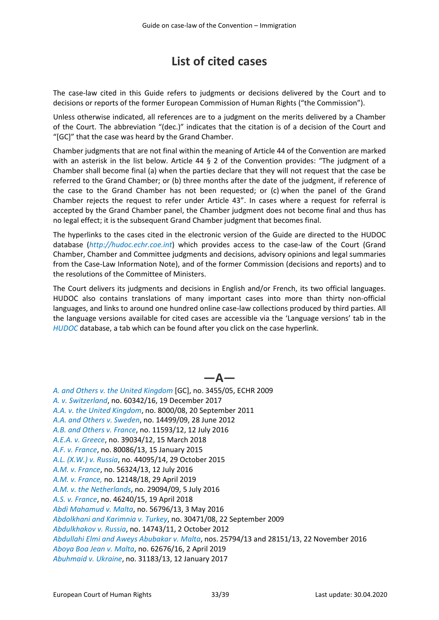# **List of cited cases**

<span id="page-32-0"></span>The case-law cited in this Guide refers to judgments or decisions delivered by the Court and to decisions or reports of the former European Commission of Human Rights ("the Commission").

Unless otherwise indicated, all references are to a judgment on the merits delivered by a Chamber of the Court. The abbreviation "(dec.)" indicates that the citation is of a decision of the Court and "[GC]" that the case was heard by the Grand Chamber.

Chamber judgments that are not final within the meaning of Article 44 of the Convention are marked with an asterisk in the list below. Article 44 § 2 of the Convention provides: "The judgment of a Chamber shall become final (a) when the parties declare that they will not request that the case be referred to the Grand Chamber; or (b) three months after the date of the judgment, if reference of the case to the Grand Chamber has not been requested; or (c) when the panel of the Grand Chamber rejects the request to refer under Article 43". In cases where a request for referral is accepted by the Grand Chamber panel, the Chamber judgment does not become final and thus has no legal effect; it is the subsequent Grand Chamber judgment that becomes final.

The hyperlinks to the cases cited in the electronic version of the Guide are directed to the HUDOC database (*[http://hudoc.echr.coe.int](http://hudoc.echr.coe.int/)*) which provides access to the case-law of the Court (Grand Chamber, Chamber and Committee judgments and decisions, advisory opinions and legal summaries from the Case-Law Information Note), and of the former Commission (decisions and reports) and to the resolutions of the Committee of Ministers.

The Court delivers its judgments and decisions in English and/or French, its two official languages. HUDOC also contains translations of many important cases into more than thirty non-official languages, and links to around one hundred online case-law collections produced by third parties. All the language versions available for cited cases are accessible via the 'Language versions' tab in the *[HUDOC](https://hudoc.echr.coe.int/fre)* database, a tab which can be found after you click on the case hyperlink.

**—A—**

*[A. and Others v. the United Kingdom](http://hudoc.echr.coe.int/eng?i=001-91403)* [GC], no. 3455/05, ECHR 2009 *[A. v. Switzerland](http://hudoc.echr.coe.int/eng?i=001-179573)*, no. 60342/16, 19 December 2017 *[A.A. v. the United Kingdom](http://hudoc.echr.coe.int/eng?i=001-106282)*, no. 8000/08, 20 September 2011 *[A.A. and Others v. Sweden](http://hudoc.echr.coe.int/eng?i=001-111553)*, no. 14499/09, 28 June 2012 *[A.B. and Others v. France](http://hudoc.echr.coe.int/eng?i=001-164678)*, no. 11593/12, 12 July 2016 *[A.E.A. v. Greece](http://hudoc.echr.coe.int/eng?i=001-181600)*, no. 39034/12, 15 March 2018 *[A.F. v. France](http://hudoc.echr.coe.int/eng?i=001-150714)*, no. 80086/13, 15 January 2015 *[A.L. \(X.W.\) v. Russia](http://hudoc.echr.coe.int/eng?i=001-158148)*, no. 44095/14, 29 October 2015 *[A.M. v. France](http://hudoc.echr.coe.int/eng?i=001-165268)*, no. 56324/13, 12 July 2016 *[A.M. v. France,](http://hudoc.echr.coe.int/eng?i=001-192926)* no. 12148/18, 29 April 2019 *[A.M. v. the Netherlands](http://hudoc.echr.coe.int/eng?i=001-164460)*, no. 29094/09, 5 July 2016 *[A.S. v. France](http://hudoc.echr.coe.int/eng?i=001-182629)*, no. 46240/15, 19 April 2018 *[Abdi Mahamud v. Malta](http://hudoc.echr.coe.int/eng?i=001-162424)*, no. 56796/13, 3 May 2016 *[Abdolkhani and Karimnia v. Turkey](http://hudoc.echr.coe.int/eng?i=001-94127)*, no. 30471/08, 22 September 2009 *[Abdulkhakov v. Russia](http://hudoc.echr.coe.int/eng?i=001-113287)*, no. 14743/11, 2 October 2012 *[Abdullahi Elmi and Aweys Abubakar v. Malta](http://hudoc.echr.coe.int/eng?i=001-168780)*, nos. 25794/13 and 28151/13, 22 November 2016 *[Aboya Boa Jean v. Malta](http://hudoc.echr.coe.int/eng?i=001-192066)*, no. 62676/16, 2 April 2019 *[Abuhmaid v. Ukraine](http://hudoc.echr.coe.int/eng?i=001-170285)*, no. 31183/13, 12 January 2017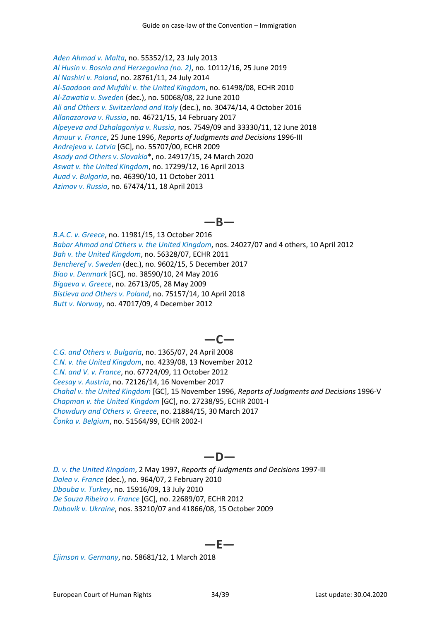*[Aden Ahmad v. Malta](http://hudoc.echr.coe.int/eng?i=001-122894)*, no. 55352/12, 23 July 2013 *[Al Husin v. Bosnia and Herzegovina \(no. 2\)](http://hudoc.echr.coe.int/eng?i=001-194065)*, no. 10112/16, 25 June 2019 *[Al Nashiri v. Poland](http://hudoc.echr.coe.int/eng?i=001-146044)*, no. 28761/11, 24 July 2014 *[Al-Saadoon and Mufdhi v. the United Kingdom](http://hudoc.echr.coe.int/eng?i=001-97575)*, no. 61498/08, ECHR 2010 *[Al-Zawatia v. Sweden](http://hudoc.echr.coe.int/eng?i=001-99987)* (dec.), no. 50068/08, 22 June 2010 *[Ali and Others v. Switzerland and Italy](http://hudoc.echr.coe.int/eng?i=001-168401)* (dec.), no. 30474/14, 4 October 2016 *[Allanazarova v. Russia](http://hudoc.echr.coe.int/eng?i=001-171100)*, no. 46721/15, 14 February 2017 *[Alpeyeva and Dzhalagoniya v. Russia](http://hudoc.echr.coe.int/eng?i=001-183537)*, nos. 7549/09 and 33330/11, 12 June 2018 *[Amuur v. France](http://hudoc.echr.coe.int/eng?i=001-57988)*, 25 June 1996, *Reports of Judgments and Decisions* 1996-III *[Andrejeva v. Latvia](http://hudoc.echr.coe.int/eng?i=001-91388)* [GC], no. 55707/00, ECHR 2009 *[Asady and Others v. Slovakia](http://hudoc.echr.coe.int/eng?i=001-201870)*\*, no. 24917/15, 24 March 2020 *[Aswat v. the United Kingdom](http://hudoc.echr.coe.int/eng?i=001-118583)*, no. 17299/12, 16 April 2013 *[Auad v. Bulgaria](http://hudoc.echr.coe.int/eng?i=001-106668)*, no. 46390/10, 11 October 2011 *[Azimov v. Russia](http://hudoc.echr.coe.int/eng?i=001-118605)*, no. 67474/11, 18 April 2013

### **—B—**

*[B.A.C. v. Greece](http://hudoc.echr.coe.int/eng?i=001-167806)*, no. 11981/15, 13 October 2016 *[Babar Ahmad and Others v. the United Kingdom](http://hudoc.echr.coe.int/eng?i=001-110267)*, nos. 24027/07 and 4 others, 10 April 2012 *[Bah v. the United Kingdom](http://hudoc.echr.coe.int/eng?i=001-106448)*, no. 56328/07, ECHR 2011 *[Bencheref v. Sweden](http://hudoc.echr.coe.int/eng?i=001-180195)* (dec.), no. 9602/15, 5 December 2017 *[Biao v. Denmark](http://hudoc.echr.coe.int/eng?i=001-163115)* [GC], no. 38590/10, 24 May 2016 *[Bigaeva v. Greece](http://hudoc.echr.coe.int/eng?i=001-92753)*, no. 26713/05, 28 May 2009 *[Bistieva and Others v. Poland](http://hudoc.echr.coe.int/eng?i=001-182210)*, no. 75157/14, 10 April 2018 *[Butt v. Norway](http://hudoc.echr.coe.int/eng?i=001-115012)*, no. 47017/09, 4 December 2012

## **—C—**

*[C.G. and Others v. Bulgaria](http://hudoc.echr.coe.int/eng?i=001-86093)*, no. 1365/07, 24 April 2008 *[C.N. v. the United Kingdom](http://hudoc.echr.coe.int/eng?i=001-114518)*, no. 4239/08, 13 November 2012 *[C.N. and V. v. France](http://hudoc.echr.coe.int/eng?i=001-114032)*, no. 67724/09, 11 October 2012 *[Ceesay v. Austria](http://hudoc.echr.coe.int/eng?i=001-178962)*, no. 72126/14, 16 November 2017 *[Chahal v. the United Kingdom](http://hudoc.echr.coe.int/eng?i=001-58004)* [GC], 15 November 1996, *Reports of Judgments and Decisions* 1996-V *[Chapman v. the United Kingdom](http://hudoc.echr.coe.int/eng?i=001-59154)* [GC], no. 27238/95, ECHR 2001-I *[Chowdury and Others v. Greece](http://hudoc.echr.coe.int/eng?i=001-172701)*, no. 21884/15, 30 March 2017 *[Čonka v. Belgium](http://hudoc.echr.coe.int/eng?i=001-60026)*, no. 51564/99, ECHR 2002-I

### **—D—**

*[D. v. the United Kingdom](http://hudoc.echr.coe.int/eng?i=001-58035)*, 2 May 1997, *Reports of Judgments and Decisions* 1997-III *[Dalea v. France](http://hudoc.echr.coe.int/eng?i=001-97520)* (dec.), no. 964/07, 2 February 2010 *[Dbouba v. Turkey](http://hudoc.echr.coe.int/eng?i=001-99905)*, no. 15916/09, 13 July 2010 *[De Souza Ribeiro v. France](http://hudoc.echr.coe.int/eng?i=001-115498)* [GC], no. 22689/07, ECHR 2012 *[Dubovik v. Ukraine](http://hudoc.echr.coe.int/eng?i=001-95081)*, nos. 33210/07 and 41866/08, 15 October 2009

## **—E—**

*[Ejimson v. Germany](http://hudoc.echr.coe.int/eng?i=001-181177)*, no. 58681/12, 1 March 2018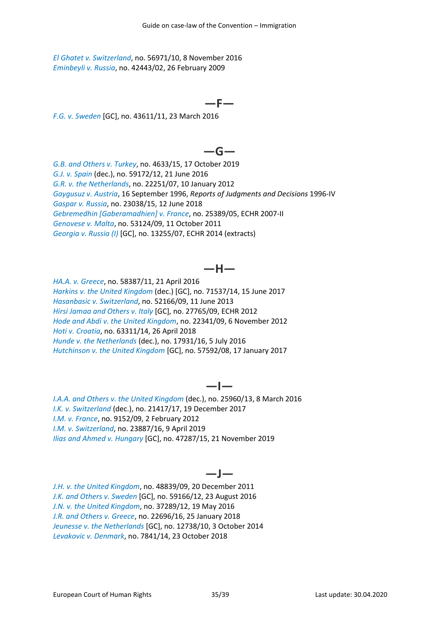*[El Ghatet v. Switzerland](http://hudoc.echr.coe.int/eng?i=001-168377)*, no. 56971/10, 8 November 2016 *[Eminbeyli v. Russia](http://hudoc.echr.coe.int/eng?i=001-91447)*, no. 42443/02, 26 February 2009

$$
-\mathsf{F}-
$$

*[F.G. v. Sweden](http://hudoc.echr.coe.int/eng?i=001-161829)* [GC], no. 43611/11, 23 March 2016

$$
-{\rm G}-
$$

*[G.B. and Others v. Turkey](http://hudoc.echr.coe.int/eng?i=001-196612)*, no. 4633/15, 17 October 2019 *[G.J. v. Spain](http://hudoc.echr.coe.int/eng?i=001-165241)* (dec.), no. 59172/12, 21 June 2016 *[G.R. v. the Netherlands](http://hudoc.echr.coe.int/eng?i=001-108436)*, no. 22251/07, 10 January 2012 *[Gaygusuz v. Austria](http://hudoc.echr.coe.int/eng?i=001-58060)*, 16 September 1996, *Reports of Judgments and Decisions* 1996-IV *[Gaspar v. Russia](http://hudoc.echr.coe.int/eng?i=001-183543)*, no. 23038/15, 12 June 2018 *[Gebremedhin \[Gaberamadhien\] v. France](http://hudoc.echr.coe.int/eng?i=001-80333)*, no. 25389/05, ECHR 2007-II *[Genovese v. Malta](http://hudoc.echr.coe.int/eng?i=001-106785)*, no. 53124/09, 11 October 2011 *[Georgia v. Russia \(I\)](http://hudoc.echr.coe.int/eng?i=001-145546)* [GC], no. 13255/07, ECHR 2014 (extracts)

### **—H—**

*[HA.A. v. Greece](http://hudoc.echr.coe.int/eng?i=001-162116)*, no. 58387/11, 21 April 2016 *[Harkins v. the United Kingdom](http://hudoc.echr.coe.int/eng?i=001-175502)* (dec.) [GC], no. 71537/14, 15 June 2017 *[Hasanbasic v. Switzerland](http://hudoc.echr.coe.int/eng?i=001-120947)*, no. 52166/09, 11 June 2013 *[Hirsi Jamaa and Others v. Italy](http://hudoc.echr.coe.int/eng?i=001-109231)* [GC], no. 27765/09, ECHR 2012 *[Hode and Abdi v. the United Kingdom](http://hudoc.echr.coe.int/eng?i=001-114244)*, no. 22341/09, 6 November 2012 *[Hoti v. Croatia](http://hudoc.echr.coe.int/eng?i=001-182448)*, no. 63311/14, 26 April 2018 *[Hunde v. the Netherlands](http://hudoc.echr.coe.int/eng?i=001-165569)* (dec.), no. 17931/16, 5 July 2016 *[Hutchinson v. the United Kingdom](http://hudoc.echr.coe.int/eng?i=001-170347)* [GC], no. 57592/08, 17 January 2017

**—I—**

*[I.A.A. and Others v. the United Kingdom](http://hudoc.echr.coe.int/eng?i=001-161986)* (dec.), no. 25960/13, 8 March 2016 *[I.K. v. Switzerland](http://hudoc.echr.coe.int/eng?i=001-180412)* (dec.), no. 21417/17, 19 December 2017 *[I.M. v. France](http://hudoc.echr.coe.int/eng?i=001-108935)*, no. 9152/09, 2 February 2012 *[I.M. v. Switzerland](http://hudoc.echr.coe.int/eng?i=001-192201)*, no. 23887/16, 9 April 2019 *[Ilias and Ahmed v. Hungary](http://hudoc.echr.coe.int/eng?i=001-198760)* [GC], no. 47287/15, 21 November 2019

**—J—**

*[J.H. v. the United Kingdom](http://hudoc.echr.coe.int/eng?i=001-108157)*, no. 48839/09, 20 December 2011 *[J.K. and Others v. Sweden](http://hudoc.echr.coe.int/eng?i=001-165442)* [GC], no. 59166/12, 23 August 2016 *[J.N. v. the United Kingdom](http://hudoc.echr.coe.int/eng?i=001-162855)*, no. 37289/12, 19 May 2016 *[J.R. and Others v. Greece](http://hudoc.echr.coe.int/eng?i=001-180319)*, no. 22696/16, 25 January 2018 *[Jeunesse v. the Netherlands](http://hudoc.echr.coe.int/eng?i=001-147117)* [GC], no. 12738/10, 3 October 2014 *[Levakovic v. Denmark](http://hudoc.echr.coe.int/eng?i=001-187203)*, no. 7841/14, 23 October 2018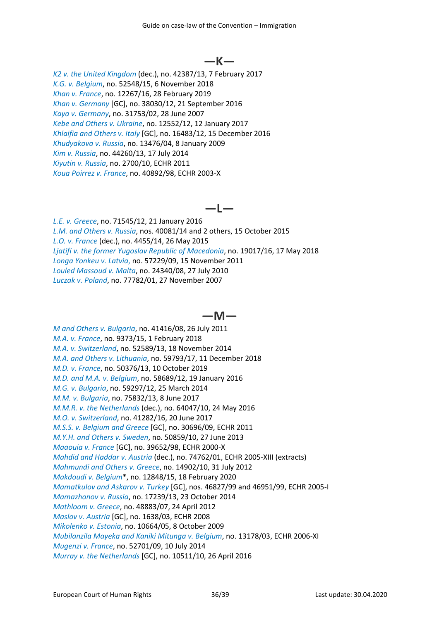## **—K—**

*[K2 v. the United Kingdom](http://hudoc.echr.coe.int/eng?i=001-172143)* (dec.), no. 42387/13, 7 February 2017 *[K.G. v. Belgium](http://hudoc.echr.coe.int/eng?i=001-187511)*, no. 52548/15, 6 November 2018 *[Khan v. France](http://hudoc.echr.coe.int/eng?i=001-191587)*, no. 12267/16, 28 February 2019 *Khan v. [Germany](http://hudoc.echr.coe.int/eng?i=001-166853)* [GC], no. 38030/12, 21 September 2016 *[Kaya v. Germany](http://hudoc.echr.coe.int/eng?i=001-81338)*, no. 31753/02, 28 June 2007 *[Kebe and Others v. Ukraine](http://hudoc.echr.coe.int/eng?i=001-170058)*, no. 12552/12, 12 January 2017 *[Khlaifia and Others v. Italy](http://hudoc.echr.coe.int/eng?i=001-170054)* [GC], no. 16483/12, 15 December 2016 *[Khudyakova v. Russia](http://hudoc.echr.coe.int/eng?i=001-90482)*, no. 13476/04, 8 January 2009 *[Kim v. Russia](http://hudoc.echr.coe.int/eng?i=001-145584)*, no. 44260/13, 17 July 2014 *[Kiyutin v. Russia](http://hudoc.echr.coe.int/eng?i=001-103904)*, no. 2700/10, ECHR 2011 *[Koua Poirrez v. France](http://hudoc.echr.coe.int/eng?i=001-61317)*, no. 40892/98, ECHR 2003-X

## **—L—**

*[L.E. v. Greece](http://hudoc.echr.coe.int/eng?i=001-160218)*, no. 71545/12, 21 January 2016 *[L.M. and Others v. Russia](http://hudoc.echr.coe.int/eng?i=001-157709)*, nos. 40081/14 and 2 others, 15 October 2015 *[L.O. v. France](http://hudoc.echr.coe.int/eng?i=001-155655)* (dec.), no. 4455/14, 26 May 2015 *[Ljatifi v. the former Yugoslav Republic of Macedonia](http://hudoc.echr.coe.int/eng?i=001-182871)*, no. 19017/16, 17 May 2018 *[Longa Yonkeu v. Latvia](http://hudoc.echr.coe.int/eng?i=001-107452)*, no. 57229/09, 15 November 2011 *[Louled Massoud v. Malta](http://hudoc.echr.coe.int/eng?i=001-100143)*, no. 24340/08, 27 July 2010 *[Luczak v. Poland](http://hudoc.echr.coe.int/eng?i=001-83464)*, no. 77782/01, 27 November 2007

### **—M—**

*M [and Others v. Bulgaria](http://hudoc.echr.coe.int/eng?i=001-105788)*, no. 41416/08, 26 July 2011 *[M.A. v. France](http://hudoc.echr.coe.int/eng?i=001-180488)*, no. 9373/15, 1 February 2018 *[M.A. v. Switzerland](http://hudoc.echr.coe.int/eng?i=001-148078)*, no. 52589/13, 18 November 2014 *[M.A. and Others v. Lithuania](http://hudoc.echr.coe.int/eng?i=001-188267)*, no. 59793/17, 11 December 2018 *[M.D. v. France](http://hudoc.echr.coe.int/eng?i=001-196378)*, no. 50376/13, 10 October 2019 *[M.D. and M.A. v. Belgium](http://hudoc.echr.coe.int/eng?i=001-160253)*, no. 58689/12, 19 January 2016 *[M.G. v. Bulgaria](http://hudoc.echr.coe.int/eng?i=001-142125)*, no. 59297/12, 25 March 2014 *[M.M. v. Bulgaria](http://hudoc.echr.coe.int/eng?i=001-174489)*, no. 75832/13, 8 June 2017 *[M.M.R. v. the Netherlands](http://hudoc.echr.coe.int/eng?i=001-164166)* (dec.), no. 64047/10, 24 May 2016 *[M.O. v. Switzerland](http://hudoc.echr.coe.int/eng?i=001-174424)*, no. 41282/16, 20 June 2017 *[M.S.S. v. Belgium and Greece](http://hudoc.echr.coe.int/eng?i=001-103050)* [GC], no. 30696/09, ECHR 2011 *[M.Y.H. and Others v. Sweden](http://hudoc.echr.coe.int/eng?i=001-121567)*, no. 50859/10, 27 June 2013 *[Maaouia v. France](http://hudoc.echr.coe.int/eng?i=001-58847)* [GC], no. 39652/98, ECHR 2000-X *[Mahdid and Haddar v. Austria](http://hudoc.echr.coe.int/eng?i=001-71883)* (dec.), no. 74762/01, ECHR 2005-XIII (extracts) *[Mahmundi and Others v. Greece](http://hudoc.echr.coe.int/eng?i=001-112592)*, no. 14902/10, 31 July 2012 *[Makdoudi v. Belgium](https://hudoc.echr.coe.int/eng#{"itemid":["001-201347"]})*\*, no. 12848/15, 18 February 2020 *Mamatkulov and [Askarov v. Turkey](http://hudoc.echr.coe.int/eng?i=001-68183)* [GC], nos. 46827/99 and 46951/99, ECHR 2005-I *[Mamazhonov v. Russia](http://hudoc.echr.coe.int/eng?i=001-147333)*, no. 17239/13, 23 October 2014 *[Mathloom v. Greece](http://hudoc.echr.coe.int/eng?i=001-110731)*, no. 48883/07, 24 April 2012 *[Maslov v. Austria](http://hudoc.echr.coe.int/eng?i=001-87156)* [GC], no. 1638/03, ECHR 2008 *[Mikolenko v. Estonia](http://hudoc.echr.coe.int/eng?i=001-94863)*, no. 10664/05, 8 October 2009 *[Mubilanzila Mayeka and Kaniki Mitunga v. Belgium](http://hudoc.echr.coe.int/eng?i=001-77447)*, no. 13178/03, ECHR 2006-XI *[Mugenzi v. France](http://hudoc.echr.coe.int/eng?i=001-145792)*, no. 52701/09, 10 July 2014 *[Murray v. the Netherlands](http://hudoc.echr.coe.int/eng?i=001-162614)* [GC], no. 10511/10, 26 April 2016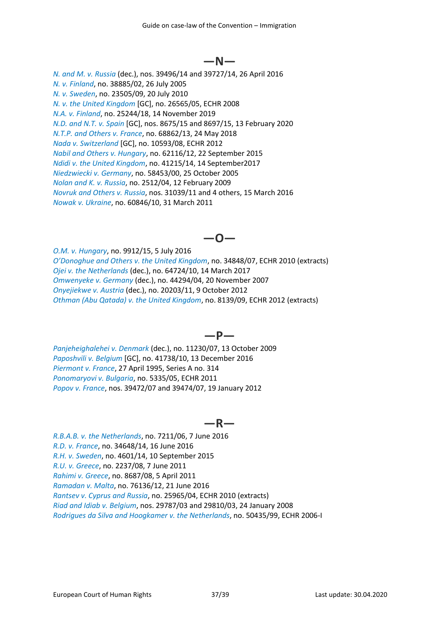$$
-N-
$$

*[N. and M. v. Russia](http://hudoc.echr.coe.int/eng?i=001-163317)* (dec.), nos. 39496/14 and 39727/14, 26 April 2016 *[N. v. Finland](http://hudoc.echr.coe.int/eng?i=001-69908)*, no. 38885/02, 26 July 2005 *[N. v. Sweden](http://hudoc.echr.coe.int/eng?i=001-99992)*, no. 23505/09, 20 July 2010 *N. v. [the United Kingdom](http://hudoc.echr.coe.int/eng?i=001-86490)* [GC], no. 26565/05, ECHR 2008 *[N.A. v. Finland](http://hudoc.echr.coe.int/eng?i=001-198465)*, no. 25244/18, 14 November 2019 *[N.D. and N.T. v. Spain](http://hudoc.echr.coe.int/eng?i=001-201353)* [GC], nos. 8675/15 and 8697/15, 13 February 2020 *[N.T.P. and Others v. France](http://hudoc.echr.coe.int/eng?i=001-183431)*, no. 68862/13, 24 May 2018 *[Nada v. Switzerland](http://hudoc.echr.coe.int/eng?i=001-113118)* [GC], no. 10593/08, ECHR 2012 *[Nabil and Others v. Hungary](http://hudoc.echr.coe.int/eng?i=001-157392)*, no. 62116/12, 22 September 2015 *[Ndidi v. the United Kingdom](http://hudoc.echr.coe.int/eng?i=001-176931)*, no. 41215/14, 14 September2017 *[Niedzwiecki v. Germany](http://hudoc.echr.coe.int/eng?i=001-70765)*, no. 58453/00, 25 October 2005 *[Nolan and K. v. Russia](http://hudoc.echr.coe.int/eng?i=001-91302)*, no. 2512/04, 12 February 2009 *[Novruk and Others v. Russia](http://hudoc.echr.coe.int/eng?i=001-161379)*, nos. 31039/11 and 4 others, 15 March 2016 *[Nowak v. Ukraine](http://hudoc.echr.coe.int/eng?i=001-104289)*, no. 60846/10, 31 March 2011

**—O—**

*[O.M. v. Hungary](http://hudoc.echr.coe.int/eng?i=001-164466)*, no. 9912/15, 5 July 2016 *O'[Donoghue and Others v. the United Kingdom](http://hudoc.echr.coe.int/eng?i=001-102266)*, no. 34848/07, ECHR 2010 (extracts) *[Ojei v. the Netherlands](http://hudoc.echr.coe.int/eng?i=001-172934)* (dec.), no. 64724/10, 14 March 2017 *[Omwenyeke v. Germany](http://hudoc.echr.coe.int/eng?i=001-83796)* (dec.), no. 44294/04, 20 November 2007 *[Onyejiekwe v. Austria](http://hudoc.echr.coe.int/eng?i=001-114301)* (dec.), no. 20203/11, 9 October 2012 *[Othman \(Abu Qatada\) v. the United Kingdom](http://hudoc.echr.coe.int/eng?i=001-108629)*, no. 8139/09, ECHR 2012 (extracts)

### **—P—**

*[Panjeheighalehei v. Denmark](http://hudoc.echr.coe.int/eng?i=001-95460)* (dec.), no. 11230/07, 13 October 2009 *[Paposhvili v. Belgium](http://hudoc.echr.coe.int/eng?i=001-169662)* [GC], no. 41738/10, 13 December 2016 *[Piermont v. France](http://hudoc.echr.coe.int/eng?i=001-57925)*, 27 April 1995, Series A no. 314 *[Ponomaryovi v. Bulgaria](http://hudoc.echr.coe.int/eng?i=001-105295)*, no. 5335/05, ECHR 2011 *[Popov v. France](http://hudoc.echr.coe.int/eng?i=001-108708)*, nos. 39472/07 and 39474/07, 19 January 2012

### **—R—**

*[R.B.A.B. v. the Netherlands](http://hudoc.echr.coe.int/eng?i=001-163451)*, no. 7211/06, 7 June 2016 *[R.D. v. France](http://hudoc.echr.coe.int/eng?i=001-164293)*, no. 34648/14, 16 June 2016 *[R.H. v. Sweden](http://hudoc.echr.coe.int/eng?i=001-157325)*, no. 4601/14, 10 September 2015 *[R.U. v. Greece](http://hudoc.echr.coe.int/eng?i=001-104959)*, no. 2237/08, 7 June 2011 *[Rahimi v. Greece](http://hudoc.echr.coe.int/eng?i=001-104366)*, no. 8687/08, 5 April 2011 *[Ramadan v. Malta](http://hudoc.echr.coe.int/eng?i=001-163820)*, no. 76136/12, 21 June 2016 *[Rantsev v. Cyprus and Russia](http://hudoc.echr.coe.int/eng?i=001-96549)*, no. 25965/04, ECHR 2010 (extracts) *[Riad and Idiab v. Belgium](http://hudoc.echr.coe.int/eng?i=001-108395)*, nos. 29787/03 and 29810/03, 24 January 2008 *[Rodrigues da Silva and Hoogkamer v. the Netherlands](http://hudoc.echr.coe.int/eng?i=001-72205)*, no. 50435/99, ECHR 2006-I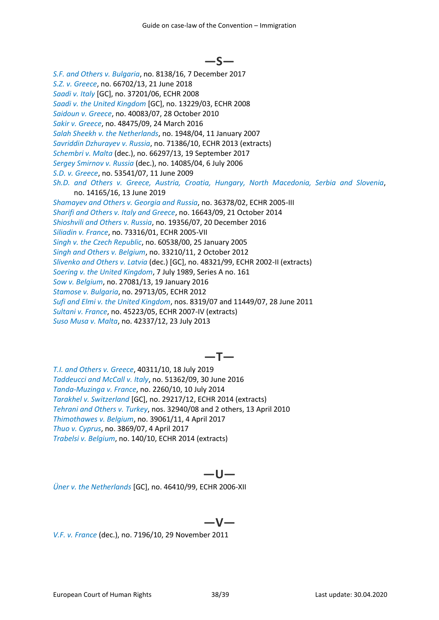$$
-S-
$$

*[S.F. and Others v. Bulgaria](http://hudoc.echr.coe.int/eng?i=001-179231)*, no. 8138/16, 7 December 2017 *[S.Z. v. Greece](http://hudoc.echr.coe.int/eng?i=001-183816)*, no. 66702/13, 21 June 2018 *[Saadi v. Italy](http://hudoc.echr.coe.int/eng?i=001-85276)* [GC], no. 37201/06, ECHR 2008 *[Saadi v. the United Kingdom](http://hudoc.echr.coe.int/eng?i=001-84709)* [GC], no. 13229/03, ECHR 2008 *[Saidoun v. Greece](http://hudoc.echr.coe.int/eng?i=001-101362)*, no. 40083/07, 28 October 2010 *[Sakir v. Greece](http://hudoc.echr.coe.int/eng?i=001-161541)*, no. 48475/09, 24 March 2016 *[Salah Sheekh v. the Netherlands](http://hudoc.echr.coe.int/eng?i=001-78986)*, no. 1948/04, 11 January 2007 *[Savriddin Dzhurayev v. Russia](http://hudoc.echr.coe.int/eng?i=001-119416)*, no. 71386/10, ECHR 2013 (extracts) *[Schembri v. Malta](http://hudoc.echr.coe.int/eng?i=001-178105)* (dec.), no. 66297/13, 19 September 2017 *[Sergey Smirnov v. Russia](http://hudoc.echr.coe.int/eng?i=001-76823)* (dec.), no. 14085/04, 6 July 2006 *[S.D. v. Greece](http://hudoc.echr.coe.int/eng?i=001-93034)*, no. 53541/07, 11 June 2009 *[Sh.D. and Others v. Greece, Austria, Croatia, Hungary, North Macedonia, Serbia and Slovenia](http://hudoc.echr.coe.int/eng?i=001-193610)*, no. 14165/16, 13 June 2019 *[Shamayev and Others v. Georgia and Russia](http://hudoc.echr.coe.int/eng?i=001-68790)*, no. 36378/02, ECHR 2005-III *[Sharifi and Others v. Italy and Greece](http://hudoc.echr.coe.int/eng?i=001-147702)*, no. 16643/09, 21 October 2014 *[Shioshvili and Others v. Russia](http://hudoc.echr.coe.int/eng?i=001-169650)*, no. 19356/07, 20 December 2016 *[Siliadin v. France](http://hudoc.echr.coe.int/eng?i=001-69891)*, no. 73316/01, ECHR 2005-VII *[Singh v. the Czech Republic](http://hudoc.echr.coe.int/eng?i=001-68085)*, no. 60538/00, 25 January 2005 *[Singh and Others v. Belgium](http://hudoc.echr.coe.int/eng?i=001-113660)*, no. 33210/11, 2 October 2012 *[Slivenko and Others v. Latvia](http://hudoc.echr.coe.int/eng?i=001-22231)* (dec.) [GC], no. 48321/99, ECHR 2002-II (extracts) *[Soering v. the United Kingdom](http://hudoc.echr.coe.int/eng?i=001-57619)*, 7 July 1989, Series A no. 161 *[Sow v. Belgium](http://hudoc.echr.coe.int/eng?i=001-160241)*, no. 27081/13, 19 January 2016 *[Stamose v. Bulgaria](http://hudoc.echr.coe.int/eng?i=001-115160)*, no. 29713/05, ECHR 2012 *[Sufi and Elmi v. the United Kingdom](http://hudoc.echr.coe.int/eng?i=001-105434)*, nos. 8319/07 and 11449/07, 28 June 2011 *[Sultani v. France](http://hudoc.echr.coe.int/eng?i=001-82337)*, no. 45223/05, ECHR 2007-IV (extracts) *[Suso Musa v. Malta](http://hudoc.echr.coe.int/eng?i=001-122893)*, no. 42337/12, 23 July 2013



*[T.I. and Others v. Greece](http://hudoc.echr.coe.int/eng?i=001-194441)*, 40311/10, 18 July 2019 *[Taddeucci and McCall v. Italy](http://hudoc.echr.coe.int/eng?i=001-164201)*, no. 51362/09, 30 June 2016 *[Tanda-Muzinga v. France](http://hudoc.echr.coe.int/eng?i=001-145358)*, no. 2260/10, 10 July 2014 *[Tarakhel v. Switzerland](http://hudoc.echr.coe.int/eng?i=001-148070)* [GC], no. 29217/12, ECHR 2014 (extracts) *[Tehrani and Others v. Turkey](http://hudoc.echr.coe.int/eng?i=001-98259)*, nos. 32940/08 and 2 others, 13 April 2010 *[Thimothawes](http://hudoc.echr.coe.int/eng?i=001-172464) v. Belgium*, no. 39061/11, 4 April 2017 *[Thuo v. Cyprus](http://hudoc.echr.coe.int/eng?i=001-172459)*, no. 3869/07, 4 April 2017 *[Trabelsi v. Belgium](http://hudoc.echr.coe.int/eng?i=001-146372)*, no. 140/10, ECHR 2014 (extracts)

### **—U—**

*[Üner v. the Netherlands](http://hudoc.echr.coe.int/eng?i=001-77542)* [GC], no. 46410/99, ECHR 2006-XII

### **—V—**

*[V.F. v. France](http://hudoc.echr.coe.int/eng?i=001-108003)* (dec.), no. 7196/10, 29 November 2011